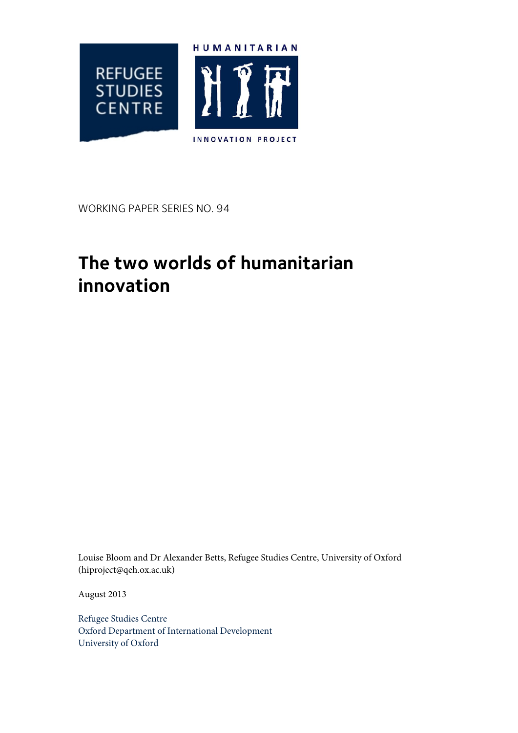

WORKING PAPER SERIES NO. 94

# **The two worlds of humanitarian innovation**

Louise Bloom and Dr Alexander Betts, Refugee Studies Centre, University of Oxford (hiproject@qeh.ox.ac.uk)

August 2013

Refugee Studies Centre Oxford Department of International Development University of Oxford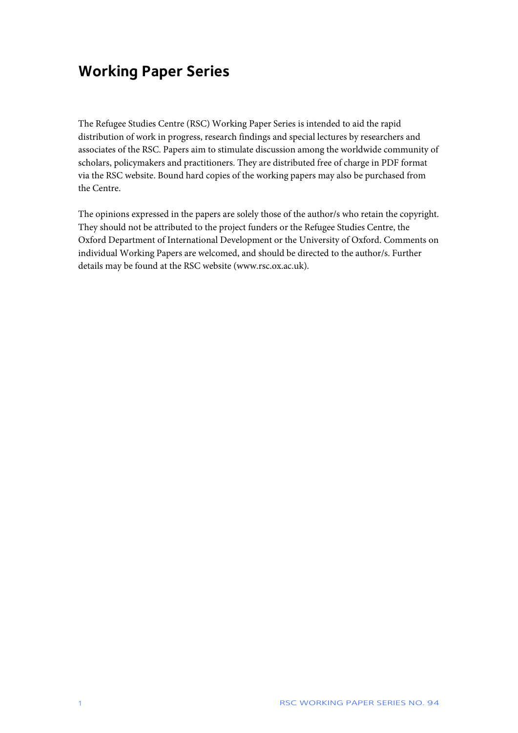### **Working Paper Series**

The Refugee Studies Centre (RSC) Working Paper Series is intended to aid the rapid distribution of work in progress, research findings and special lectures by researchers and associates of the RSC. Papers aim to stimulate discussion among the worldwide community of scholars, policymakers and practitioners. They are distributed free of charge in PDF format via the RSC website. Bound hard copies of the working papers may also be purchased from the Centre.

The opinions expressed in the papers are solely those of the author/s who retain the copyright. They should not be attributed to the project funders or the Refugee Studies Centre, the Oxford Department of International Development or the University of Oxford. Comments on individual Working Papers are welcomed, and should be directed to the author/s. Further details may be found at the RSC website (www.rsc.ox.ac.uk).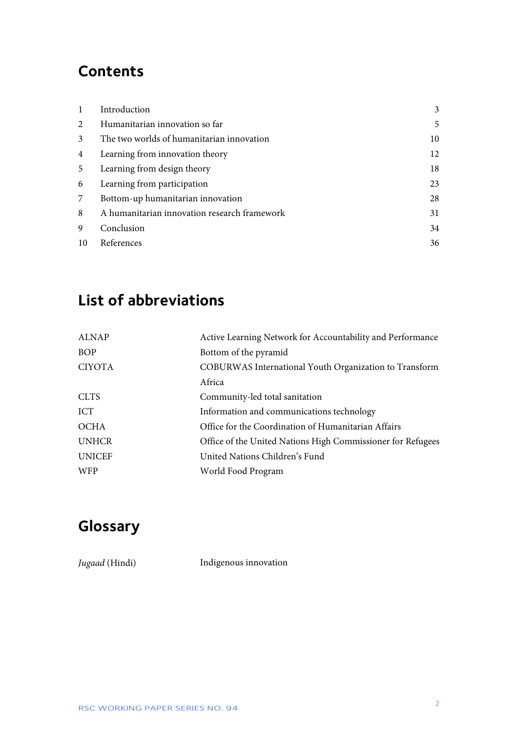### **Contents**

| 1              | Introduction                                 | 3  |
|----------------|----------------------------------------------|----|
| 2              | Humanitarian innovation so far               | 5  |
| 3              | The two worlds of humanitarian innovation    | 10 |
| $\overline{4}$ | Learning from innovation theory              | 12 |
| 5              | Learning from design theory                  | 18 |
| 6              | Learning from participation                  | 23 |
| 7              | Bottom-up humanitarian innovation            | 28 |
| 8              | A humanitarian innovation research framework | 31 |
| 9              | Conclusion                                   | 34 |
| 10             | References                                   | 36 |

## **List of abbreviations**

| <b>ALNAP</b>  | Active Learning Network for Accountability and Performance  |  |
|---------------|-------------------------------------------------------------|--|
| <b>BOP</b>    | Bottom of the pyramid                                       |  |
| <b>CIYOTA</b> | COBURWAS International Youth Organization to Transform      |  |
|               | Africa                                                      |  |
| <b>CLTS</b>   | Community-led total sanitation                              |  |
| <b>ICT</b>    | Information and communications technology                   |  |
| <b>OCHA</b>   | Office for the Coordination of Humanitarian Affairs         |  |
| <b>UNHCR</b>  | Office of the United Nations High Commissioner for Refugees |  |
| <b>UNICEF</b> | United Nations Children's Fund                              |  |
| <b>WFP</b>    | World Food Program                                          |  |
|               |                                                             |  |

## **Glossary**

*Jugaad* (Hindi) Indigenous innovation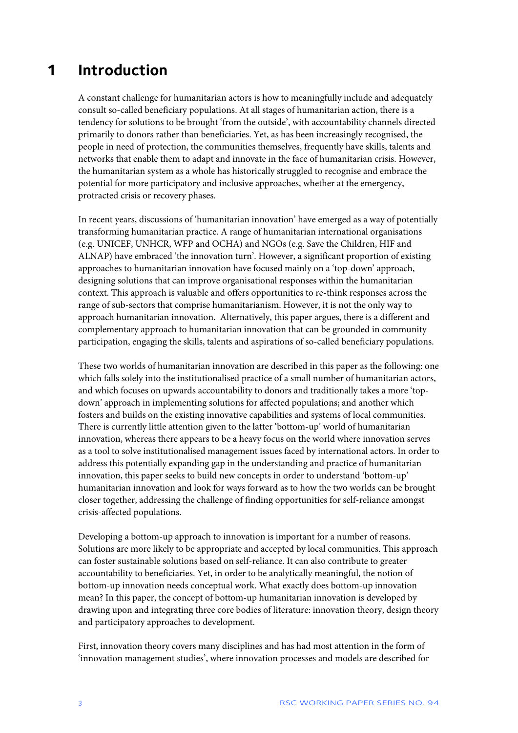### **1 Introduction**

A constant challenge for humanitarian actors is how to meaningfully include and adequately consult so-called beneficiary populations. At all stages of humanitarian action, there is a tendency for solutions to be brought 'from the outside', with accountability channels directed primarily to donors rather than beneficiaries. Yet, as has been increasingly recognised, the people in need of protection, the communities themselves, frequently have skills, talents and networks that enable them to adapt and innovate in the face of humanitarian crisis. However, the humanitarian system as a whole has historically struggled to recognise and embrace the potential for more participatory and inclusive approaches, whether at the emergency, protracted crisis or recovery phases.

In recent years, discussions of 'humanitarian innovation' have emerged as a way of potentially transforming humanitarian practice. A range of humanitarian international organisations (e.g. UNICEF, UNHCR, WFP and OCHA) and NGOs (e.g. Save the Children, HIF and ALNAP) have embraced 'the innovation turn'. However, a significant proportion of existing approaches to humanitarian innovation have focused mainly on a 'top-down' approach, designing solutions that can improve organisational responses within the humanitarian context. This approach is valuable and offers opportunities to re-think responses across the range of sub-sectors that comprise humanitarianism. However, it is not the only way to approach humanitarian innovation. Alternatively, this paper argues, there is a different and complementary approach to humanitarian innovation that can be grounded in community participation, engaging the skills, talents and aspirations of so-called beneficiary populations.

These two worlds of humanitarian innovation are described in this paper as the following: one which falls solely into the institutionalised practice of a small number of humanitarian actors, and which focuses on upwards accountability to donors and traditionally takes a more 'topdown' approach in implementing solutions for affected populations; and another which fosters and builds on the existing innovative capabilities and systems of local communities. There is currently little attention given to the latter 'bottom-up' world of humanitarian innovation, whereas there appears to be a heavy focus on the world where innovation serves as a tool to solve institutionalised management issues faced by international actors. In order to address this potentially expanding gap in the understanding and practice of humanitarian innovation, this paper seeks to build new concepts in order to understand 'bottom-up' humanitarian innovation and look for ways forward as to how the two worlds can be brought closer together, addressing the challenge of finding opportunities for self-reliance amongst crisis-affected populations.

Developing a bottom-up approach to innovation is important for a number of reasons. Solutions are more likely to be appropriate and accepted by local communities. This approach can foster sustainable solutions based on self-reliance. It can also contribute to greater accountability to beneficiaries. Yet, in order to be analytically meaningful, the notion of bottom-up innovation needs conceptual work. What exactly does bottom-up innovation mean? In this paper, the concept of bottom-up humanitarian innovation is developed by drawing upon and integrating three core bodies of literature: innovation theory, design theory and participatory approaches to development.

First, innovation theory covers many disciplines and has had most attention in the form of 'innovation management studies', where innovation processes and models are described for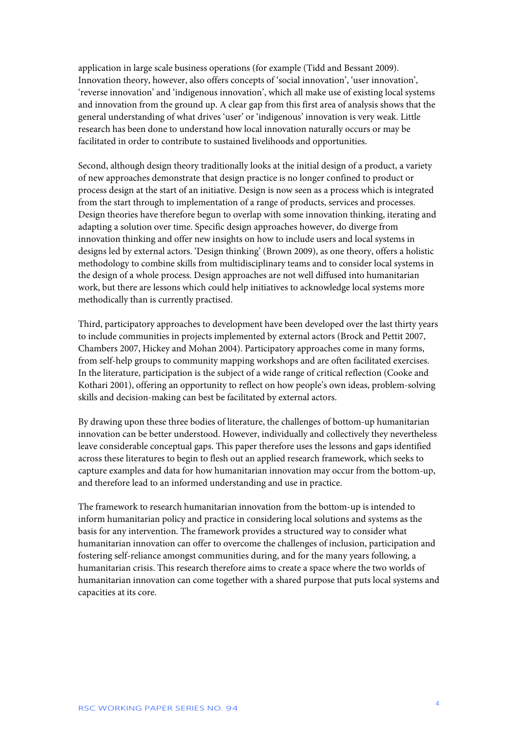application in large scale business operations (for example (Tidd and Bessant 2009). Innovation theory, however, also offers concepts of 'social innovation', 'user innovation', 'reverse innovation' and 'indigenous innovation', which all make use of existing local systems and innovation from the ground up. A clear gap from this first area of analysis shows that the general understanding of what drives 'user' or 'indigenous' innovation is very weak. Little research has been done to understand how local innovation naturally occurs or may be facilitated in order to contribute to sustained livelihoods and opportunities.

Second, although design theory traditionally looks at the initial design of a product, a variety of new approaches demonstrate that design practice is no longer confined to product or process design at the start of an initiative. Design is now seen as a process which is integrated from the start through to implementation of a range of products, services and processes. Design theories have therefore begun to overlap with some innovation thinking, iterating and adapting a solution over time. Specific design approaches however, do diverge from innovation thinking and offer new insights on how to include users and local systems in designs led by external actors. 'Design thinking' (Brown 2009), as one theory, offers a holistic methodology to combine skills from multidisciplinary teams and to consider local systems in the design of a whole process. Design approaches are not well diffused into humanitarian work, but there are lessons which could help initiatives to acknowledge local systems more methodically than is currently practised.

Third, participatory approaches to development have been developed over the last thirty years to include communities in projects implemented by external actors (Brock and Pettit 2007, Chambers 2007, Hickey and Mohan 2004). Participatory approaches come in many forms, from self-help groups to community mapping workshops and are often facilitated exercises. In the literature, participation is the subject of a wide range of critical reflection (Cooke and Kothari 2001), offering an opportunity to reflect on how people's own ideas, problem-solving skills and decision-making can best be facilitated by external actors.

By drawing upon these three bodies of literature, the challenges of bottom-up humanitarian innovation can be better understood. However, individually and collectively they nevertheless leave considerable conceptual gaps. This paper therefore uses the lessons and gaps identified across these literatures to begin to flesh out an applied research framework, which seeks to capture examples and data for how humanitarian innovation may occur from the bottom-up, and therefore lead to an informed understanding and use in practice.

The framework to research humanitarian innovation from the bottom-up is intended to inform humanitarian policy and practice in considering local solutions and systems as the basis for any intervention. The framework provides a structured way to consider what humanitarian innovation can offer to overcome the challenges of inclusion, participation and fostering self-reliance amongst communities during, and for the many years following, a humanitarian crisis. This research therefore aims to create a space where the two worlds of humanitarian innovation can come together with a shared purpose that puts local systems and capacities at its core.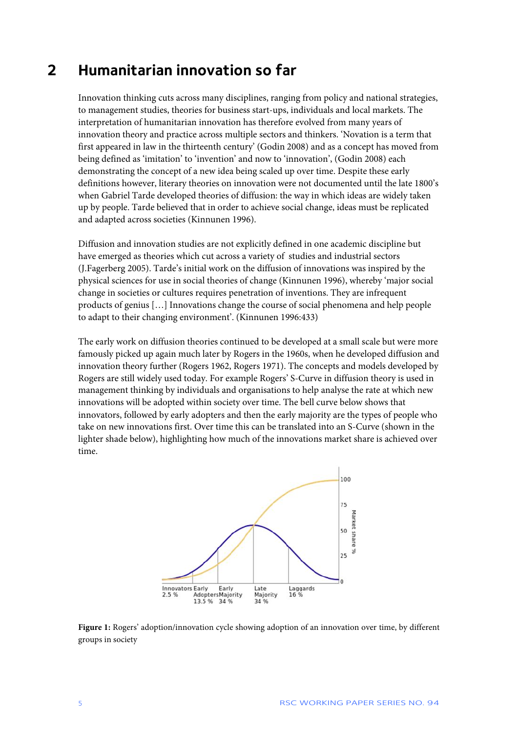### **2 Humanitarian innovation so far**

Innovation thinking cuts across many disciplines, ranging from policy and national strategies, to management studies, theories for business start-ups, individuals and local markets. The interpretation of humanitarian innovation has therefore evolved from many years of innovation theory and practice across multiple sectors and thinkers. 'Novation is a term that first appeared in law in the thirteenth century' (Godin 2008) and as a concept has moved from being defined as 'imitation' to 'invention' and now to 'innovation', (Godin 2008) each demonstrating the concept of a new idea being scaled up over time. Despite these early definitions however, literary theories on innovation were not documented until the late 1800's when Gabriel Tarde developed theories of diffusion: the way in which ideas are widely taken up by people. Tarde believed that in order to achieve social change, ideas must be replicated and adapted across societies (Kinnunen 1996).

Diffusion and innovation studies are not explicitly defined in one academic discipline but have emerged as theories which cut across a variety of studies and industrial sectors (J.Fagerberg 2005). Tarde's initial work on the diffusion of innovations was inspired by the physical sciences for use in social theories of change (Kinnunen 1996), whereby 'major social change in societies or cultures requires penetration of inventions. They are infrequent products of genius […] Innovations change the course of social phenomena and help people to adapt to their changing environment'. (Kinnunen 1996:433)

The early work on diffusion theories continued to be developed at a small scale but were more famously picked up again much later by Rogers in the 1960s, when he developed diffusion and innovation theory further (Rogers 1962, Rogers 1971). The concepts and models developed by Rogers are still widely used today. For example Rogers' S-Curve in diffusion theory is used in management thinking by individuals and organisations to help analyse the rate at which new innovations will be adopted within society over time. The bell curve below shows that innovators, followed by early adopters and then the early majority are the types of people who take on new innovations first. Over time this can be translated into an S-Curve (shown in the lighter shade below), highlighting how much of the innovations market share is achieved over time.



**Figure 1:** Rogers' adoption/innovation cycle showing adoption of an innovation over time, by different groups in society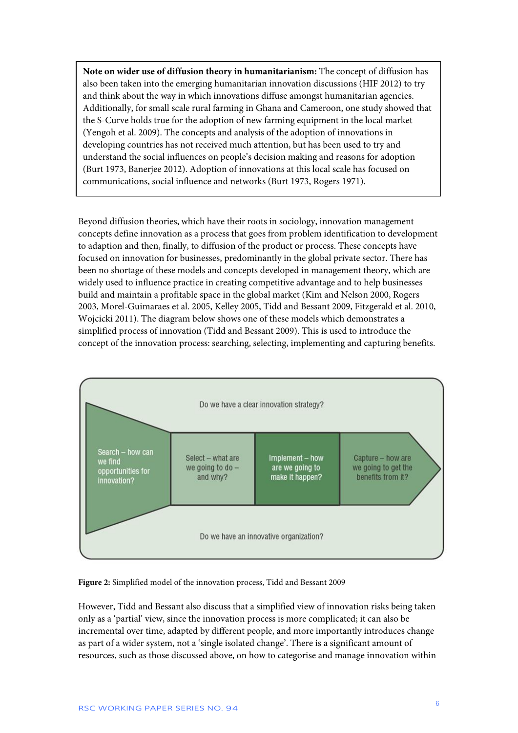**Note on wider use of diffusion theory in humanitarianism:** The concept of diffusion has also been taken into the emerging humanitarian innovation discussions (HIF 2012) to try and think about the way in which innovations diffuse amongst humanitarian agencies. Additionally, for small scale rural farming in Ghana and Cameroon, one study showed that the S-Curve holds true for the adoption of new farming equipment in the local market (Yengoh et al. 2009). The concepts and analysis of the adoption of innovations in developing countries has not received much attention, but has been used to try and understand the social influences on people's decision making and reasons for adoption (Burt 1973, Banerjee 2012). Adoption of innovations at this local scale has focused on communications, social influence and networks (Burt 1973, Rogers 1971).

Beyond diffusion theories, which have their roots in sociology, innovation management concepts define innovation as a process that goes from problem identification to development to adaption and then, finally, to diffusion of the product or process. These concepts have focused on innovation for businesses, predominantly in the global private sector. There has been no shortage of these models and concepts developed in management theory, which are widely used to influence practice in creating competitive advantage and to help businesses build and maintain a profitable space in the global market (Kim and Nelson 2000, Rogers 2003, Morel-Guimaraes et al. 2005, Kelley 2005, Tidd and Bessant 2009, Fitzgerald et al. 2010, Wojcicki 2011). The diagram below shows one of these models which demonstrates a simplified process of innovation (Tidd and Bessant 2009). This is used to introduce the concept of the innovation process: searching, selecting, implementing and capturing benefits.



#### **Figure 2:** Simplified model of the innovation process, Tidd and Bessant 2009

However, Tidd and Bessant also discuss that a simplified view of innovation risks being taken only as a 'partial' view, since the innovation process is more complicated; it can also be incremental over time, adapted by different people, and more importantly introduces change as part of a wider system, not a 'single isolated change'. There is a significant amount of resources, such as those discussed above, on how to categorise and manage innovation within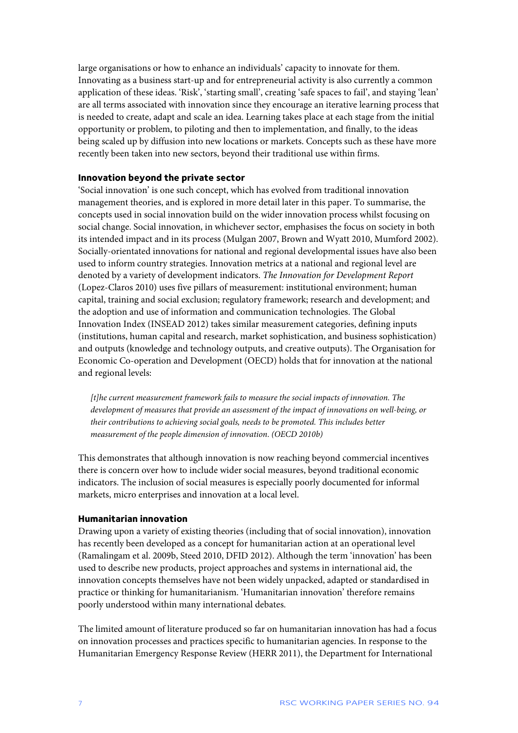large organisations or how to enhance an individuals' capacity to innovate for them. Innovating as a business start-up and for entrepreneurial activity is also currently a common application of these ideas. 'Risk', 'starting small', creating 'safe spaces to fail', and staying 'lean' are all terms associated with innovation since they encourage an iterative learning process that is needed to create, adapt and scale an idea. Learning takes place at each stage from the initial opportunity or problem, to piloting and then to implementation, and finally, to the ideas being scaled up by diffusion into new locations or markets. Concepts such as these have more recently been taken into new sectors, beyond their traditional use within firms.

#### **Innovation beyond the private sector**

'Social innovation' is one such concept, which has evolved from traditional innovation management theories, and is explored in more detail later in this paper. To summarise, the concepts used in social innovation build on the wider innovation process whilst focusing on social change. Social innovation, in whichever sector, emphasises the focus on society in both its intended impact and in its process (Mulgan 2007, Brown and Wyatt 2010, Mumford 2002). Socially-orientated innovations for national and regional developmental issues have also been used to inform country strategies. Innovation metrics at a national and regional level are denoted by a variety of development indicators. *The Innovation for Development Report* (Lopez-Claros 2010) uses five pillars of measurement: institutional environment; human capital, training and social exclusion; regulatory framework; research and development; and the adoption and use of information and communication technologies. The Global Innovation Index (INSEAD 2012) takes similar measurement categories, defining inputs (institutions, human capital and research, market sophistication, and business sophistication) and outputs (knowledge and technology outputs, and creative outputs). The Organisation for Economic Co-operation and Development (OECD) holds that for innovation at the national and regional levels:

*[t]he current measurement framework fails to measure the social impacts of innovation. The development of measures that provide an assessment of the impact of innovations on well-being, or their contributions to achieving social goals, needs to be promoted. This includes better measurement of the people dimension of innovation*. *(OECD 2010b)*

This demonstrates that although innovation is now reaching beyond commercial incentives there is concern over how to include wider social measures, beyond traditional economic indicators. The inclusion of social measures is especially poorly documented for informal markets, micro enterprises and innovation at a local level.

#### **Humanitarian innovation**

Drawing upon a variety of existing theories (including that of social innovation), innovation has recently been developed as a concept for humanitarian action at an operational level (Ramalingam et al. 2009b, Steed 2010, DFID 2012). Although the term 'innovation' has been used to describe new products, project approaches and systems in international aid, the innovation concepts themselves have not been widely unpacked, adapted or standardised in practice or thinking for humanitarianism. 'Humanitarian innovation' therefore remains poorly understood within many international debates.

The limited amount of literature produced so far on humanitarian innovation has had a focus on innovation processes and practices specific to humanitarian agencies. In response to the Humanitarian Emergency Response Review (HERR 2011), the Department for International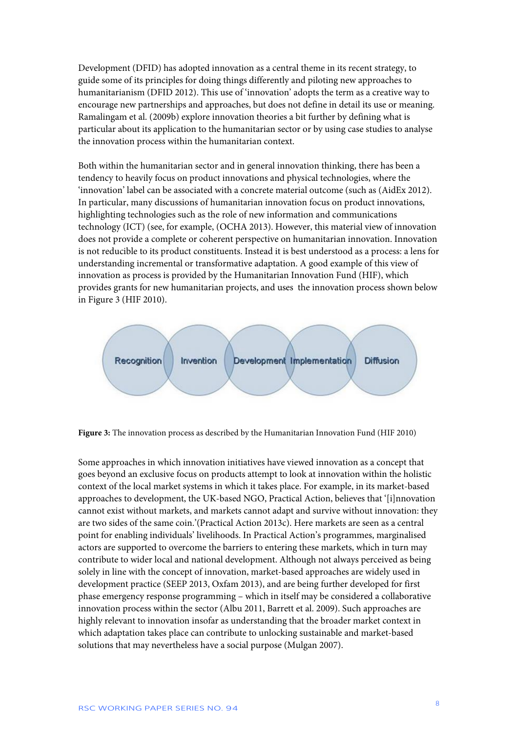Development (DFID) has adopted innovation as a central theme in its recent strategy, to guide some of its principles for doing things differently and piloting new approaches to humanitarianism (DFID 2012). This use of 'innovation' adopts the term as a creative way to encourage new partnerships and approaches, but does not define in detail its use or meaning. Ramalingam et al. (2009b) explore innovation theories a bit further by defining what is particular about its application to the humanitarian sector or by using case studies to analyse the innovation process within the humanitarian context.

Both within the humanitarian sector and in general innovation thinking, there has been a tendency to heavily focus on product innovations and physical technologies, where the 'innovation' label can be associated with a concrete material outcome (such as (AidEx 2012). In particular, many discussions of humanitarian innovation focus on product innovations, highlighting technologies such as the role of new information and communications technology (ICT) (see, for example, (OCHA 2013). However, this material view of innovation does not provide a complete or coherent perspective on humanitarian innovation. Innovation is not reducible to its product constituents. Instead it is best understood as a process: a lens for understanding incremental or transformative adaptation. A good example of this view of innovation as process is provided by the Humanitarian Innovation Fund (HIF), which provides grants for new humanitarian projects, and uses the innovation process shown below in [Figure 3](#page-8-0) (HIF 2010).



<span id="page-8-0"></span>**Figure 3:** The innovation process as described by the Humanitarian Innovation Fund (HIF 2010)

Some approaches in which innovation initiatives have viewed innovation as a concept that goes beyond an exclusive focus on products attempt to look at innovation within the holistic context of the local market systems in which it takes place. For example, in its market-based approaches to development, the UK-based NGO, Practical Action, believes that '[i]nnovation cannot exist without markets, and markets cannot adapt and survive without innovation: they are two sides of the same coin.'(Practical Action 2013c). Here markets are seen as a central point for enabling individuals' livelihoods. In Practical Action's programmes, marginalised actors are supported to overcome the barriers to entering these markets, which in turn may contribute to wider local and national development. Although not always perceived as being solely in line with the concept of innovation, market-based approaches are widely used in development practice (SEEP 2013, Oxfam 2013), and are being further developed for first phase emergency response programming – which in itself may be considered a collaborative innovation process within the sector (Albu 2011, Barrett et al. 2009). Such approaches are highly relevant to innovation insofar as understanding that the broader market context in which adaptation takes place can contribute to unlocking sustainable and market-based solutions that may nevertheless have a social purpose (Mulgan 2007).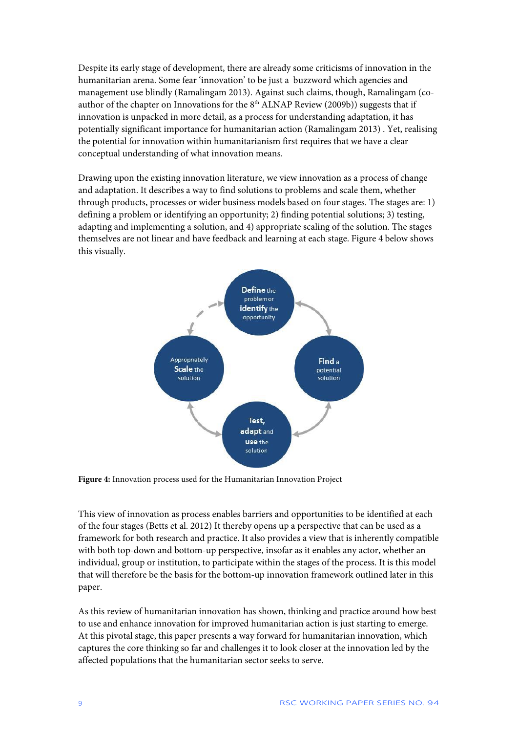Despite its early stage of development, there are already some criticisms of innovation in the humanitarian arena. Some fear 'innovation' to be just a buzzword which agencies and management use blindly (Ramalingam 2013). Against such claims, though, Ramalingam (coauthor of the chapter on Innovations for the  $8<sup>th</sup>$  ALNAP Review (2009b)) suggests that if innovation is unpacked in more detail, as a process for understanding adaptation, it has potentially significant importance for humanitarian action (Ramalingam 2013) . Yet, realising the potential for innovation within humanitarianism first requires that we have a clear conceptual understanding of what innovation means.

Drawing upon the existing innovation literature, we view innovation as a process of change and adaptation. It describes a way to find solutions to problems and scale them, whether through products, processes or wider business models based on four stages. The stages are: 1) defining a problem or identifying an opportunity; 2) finding potential solutions; 3) testing, adapting and implementing a solution, and 4) appropriate scaling of the solution. The stages themselves are not linear and have feedback and learning at each stage. [Figure 4](#page-9-0) below shows this visually.



<span id="page-9-0"></span>**Figure 4:** Innovation process used for the Humanitarian Innovation Project

This view of innovation as process enables barriers and opportunities to be identified at each of the four stages (Betts et al. 2012) It thereby opens up a perspective that can be used as a framework for both research and practice. It also provides a view that is inherently compatible with both top-down and bottom-up perspective, insofar as it enables any actor, whether an individual, group or institution, to participate within the stages of the process. It is this model that will therefore be the basis for the bottom-up innovation framework outlined later in this paper.

As this review of humanitarian innovation has shown, thinking and practice around how best to use and enhance innovation for improved humanitarian action is just starting to emerge. At this pivotal stage, this paper presents a way forward for humanitarian innovation, which captures the core thinking so far and challenges it to look closer at the innovation led by the affected populations that the humanitarian sector seeks to serve.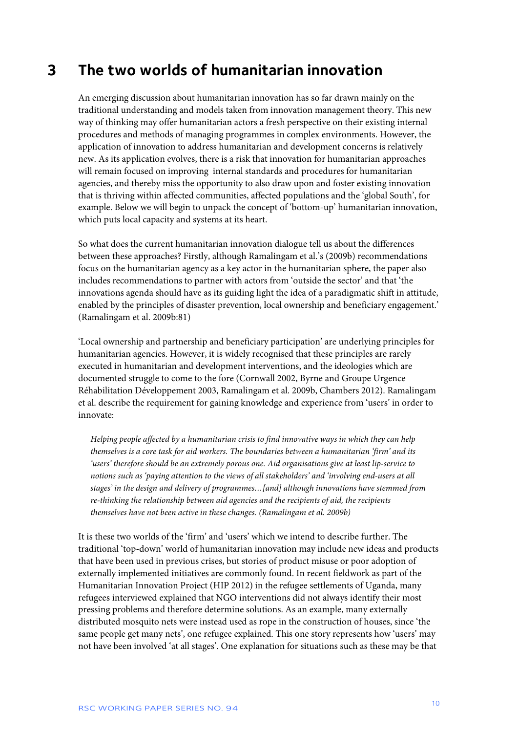### **3 The two worlds of humanitarian innovation**

An emerging discussion about humanitarian innovation has so far drawn mainly on the traditional understanding and models taken from innovation management theory. This new way of thinking may offer humanitarian actors a fresh perspective on their existing internal procedures and methods of managing programmes in complex environments. However, the application of innovation to address humanitarian and development concerns is relatively new. As its application evolves, there is a risk that innovation for humanitarian approaches will remain focused on improving internal standards and procedures for humanitarian agencies, and thereby miss the opportunity to also draw upon and foster existing innovation that is thriving within affected communities, affected populations and the 'global South', for example. Below we will begin to unpack the concept of 'bottom-up' humanitarian innovation, which puts local capacity and systems at its heart.

So what does the current humanitarian innovation dialogue tell us about the differences between these approaches? Firstly, although Ramalingam et al.'s (2009b) recommendations focus on the humanitarian agency as a key actor in the humanitarian sphere, the paper also includes recommendations to partner with actors from 'outside the sector' and that 'the innovations agenda should have as its guiding light the idea of a paradigmatic shift in attitude, enabled by the principles of disaster prevention, local ownership and beneficiary engagement.' (Ramalingam et al. 2009b:81)

'Local ownership and partnership and beneficiary participation' are underlying principles for humanitarian agencies. However, it is widely recognised that these principles are rarely executed in humanitarian and development interventions, and the ideologies which are documented struggle to come to the fore (Cornwall 2002, Byrne and Groupe Urgence Réhabilitation Développement 2003, Ramalingam et al. 2009b, Chambers 2012). Ramalingam et al. describe the requirement for gaining knowledge and experience from 'users' in order to innovate:

*Helping people affected by a humanitarian crisis to find innovative ways in which they can help themselves is a core task for aid workers. The boundaries between a humanitarian 'firm' and its 'users' therefore should be an extremely porous one. Aid organisations give at least lip-service to notions such as 'paying attention to the views of all stakeholders' and 'involving end-users at all stages' in the design and delivery of programmes…[and] although innovations have stemmed from re-thinking the relationship between aid agencies and the recipients of aid, the recipients themselves have not been active in these changes. (Ramalingam et al. 2009b)*

It is these two worlds of the 'firm' and 'users' which we intend to describe further. The traditional 'top-down' world of humanitarian innovation may include new ideas and products that have been used in previous crises, but stories of product misuse or poor adoption of externally implemented initiatives are commonly found. In recent fieldwork as part of the Humanitarian Innovation Project (HIP 2012) in the refugee settlements of Uganda, many refugees interviewed explained that NGO interventions did not always identify their most pressing problems and therefore determine solutions. As an example, many externally distributed mosquito nets were instead used as rope in the construction of houses, since 'the same people get many nets', one refugee explained. This one story represents how 'users' may not have been involved 'at all stages'. One explanation for situations such as these may be that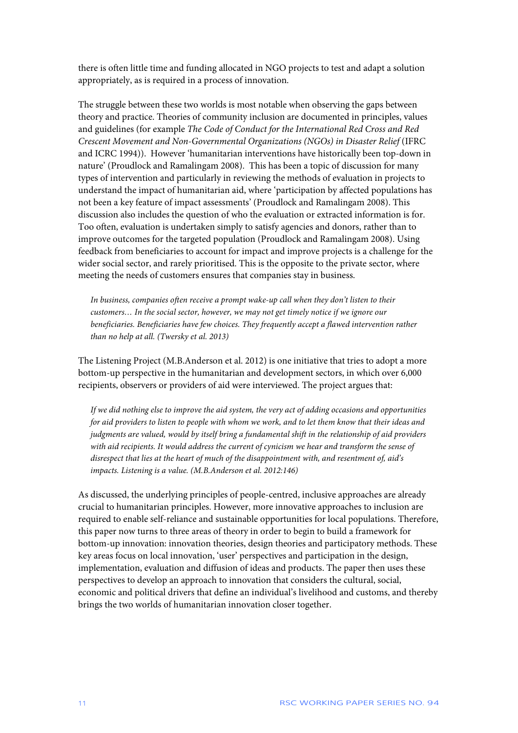there is often little time and funding allocated in NGO projects to test and adapt a solution appropriately, as is required in a process of innovation.

The struggle between these two worlds is most notable when observing the gaps between theory and practice. Theories of community inclusion are documented in principles, values and guidelines (for example *The Code of Conduct for the International Red Cross and Red Crescent Movement and Non-Governmental Organizations (NGOs) in Disaster Relief* (IFRC and ICRC 1994)). However 'humanitarian interventions have historically been top-down in nature' (Proudlock and Ramalingam 2008). This has been a topic of discussion for many types of intervention and particularly in reviewing the methods of evaluation in projects to understand the impact of humanitarian aid, where 'participation by affected populations has not been a key feature of impact assessments' (Proudlock and Ramalingam 2008). This discussion also includes the question of who the evaluation or extracted information is for. Too often, evaluation is undertaken simply to satisfy agencies and donors, rather than to improve outcomes for the targeted population (Proudlock and Ramalingam 2008). Using feedback from beneficiaries to account for impact and improve projects is a challenge for the wider social sector, and rarely prioritised. This is the opposite to the private sector, where meeting the needs of customers ensures that companies stay in business.

*In business, companies often receive a prompt wake-up call when they don't listen to their customers… In the social sector, however, we may not get timely notice if we ignore our beneficiaries. Beneficiaries have few choices. They frequently accept a flawed intervention rather than no help at all. (Twersky et al. 2013)*

The Listening Project (M.B.Anderson et al. 2012) is one initiative that tries to adopt a more bottom-up perspective in the humanitarian and development sectors, in which over 6,000 recipients, observers or providers of aid were interviewed. The project argues that:

*If we did nothing else to improve the aid system, the very act of adding occasions and opportunities for aid providers to listen to people with whom we work, and to let them know that their ideas and judgments are valued, would by itself bring a fundamental shift in the relationship of aid providers with aid recipients. It would address the current of cynicism we hear and transform the sense of disrespect that lies at the heart of much of the disappointment with, and resentment of, aid's impacts. Listening is a value. (M.B.Anderson et al. 2012:146)*

As discussed, the underlying principles of people-centred, inclusive approaches are already crucial to humanitarian principles. However, more innovative approaches to inclusion are required to enable self-reliance and sustainable opportunities for local populations. Therefore, this paper now turns to three areas of theory in order to begin to build a framework for bottom-up innovation: innovation theories, design theories and participatory methods. These key areas focus on local innovation, 'user' perspectives and participation in the design, implementation, evaluation and diffusion of ideas and products. The paper then uses these perspectives to develop an approach to innovation that considers the cultural, social, economic and political drivers that define an individual's livelihood and customs, and thereby brings the two worlds of humanitarian innovation closer together.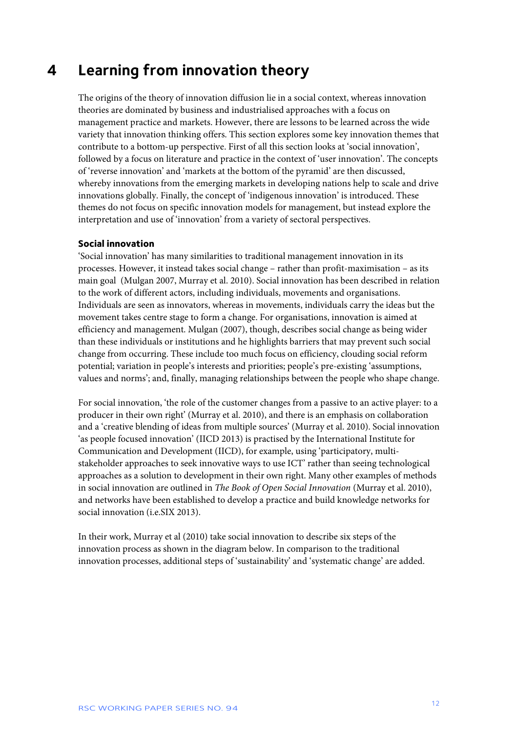### **4 Learning from innovation theory**

The origins of the theory of innovation diffusion lie in a social context, whereas innovation theories are dominated by business and industrialised approaches with a focus on management practice and markets. However, there are lessons to be learned across the wide variety that innovation thinking offers. This section explores some key innovation themes that contribute to a bottom-up perspective. First of all this section looks at 'social innovation', followed by a focus on literature and practice in the context of 'user innovation'. The concepts of 'reverse innovation' and 'markets at the bottom of the pyramid' are then discussed, whereby innovations from the emerging markets in developing nations help to scale and drive innovations globally. Finally, the concept of 'indigenous innovation' is introduced. These themes do not focus on specific innovation models for management, but instead explore the interpretation and use of 'innovation' from a variety of sectoral perspectives.

#### **Social innovation**

'Social innovation' has many similarities to traditional management innovation in its processes. However, it instead takes social change – rather than profit-maximisation – as its main goal (Mulgan 2007, Murray et al. 2010). Social innovation has been described in relation to the work of different actors, including individuals, movements and organisations. Individuals are seen as innovators, whereas in movements, individuals carry the ideas but the movement takes centre stage to form a change. For organisations, innovation is aimed at efficiency and management. Mulgan (2007), though, describes social change as being wider than these individuals or institutions and he highlights barriers that may prevent such social change from occurring. These include too much focus on efficiency, clouding social reform potential; variation in people's interests and priorities; people's pre-existing 'assumptions, values and norms'; and, finally, managing relationships between the people who shape change.

For social innovation, 'the role of the customer changes from a passive to an active player: to a producer in their own right' (Murray et al. 2010), and there is an emphasis on collaboration and a 'creative blending of ideas from multiple sources' (Murray et al. 2010). Social innovation 'as people focused innovation' (IICD 2013) is practised by the International Institute for Communication and Development (IICD), for example, using 'participatory, multistakeholder approaches to seek innovative ways to use ICT' rather than seeing technological approaches as a solution to development in their own right. Many other examples of methods in social innovation are outlined in *The Book of Open Social Innovation* (Murray et al. 2010), and networks have been established to develop a practice and build knowledge networks for social innovation (i.e.SIX 2013).

In their work, Murray et al (2010) take social innovation to describe six steps of the innovation process as shown in the diagram below. In comparison to the traditional innovation processes, additional steps of 'sustainability' and 'systematic change' are added.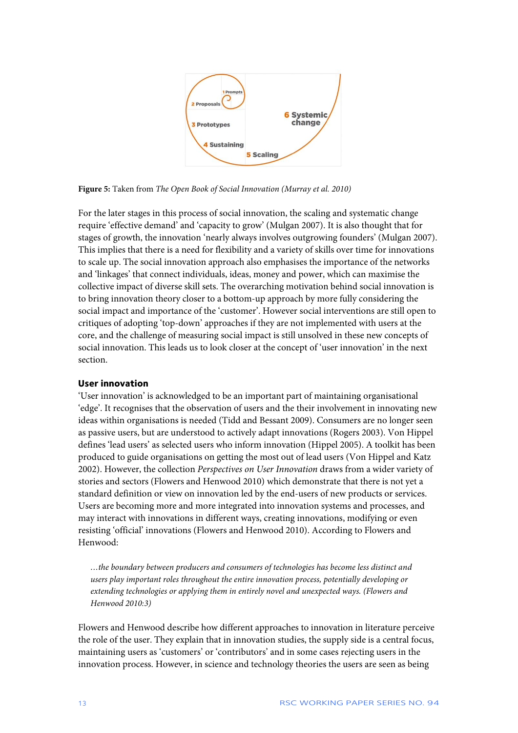

**Figure 5:** Taken from *The Open Book of Social Innovation (Murray et al. 2010)*

For the later stages in this process of social innovation, the scaling and systematic change require 'effective demand' and 'capacity to grow' (Mulgan 2007). It is also thought that for stages of growth, the innovation 'nearly always involves outgrowing founders' (Mulgan 2007). This implies that there is a need for flexibility and a variety of skills over time for innovations to scale up. The social innovation approach also emphasises the importance of the networks and 'linkages' that connect individuals, ideas, money and power, which can maximise the collective impact of diverse skill sets. The overarching motivation behind social innovation is to bring innovation theory closer to a bottom-up approach by more fully considering the social impact and importance of the 'customer'. However social interventions are still open to critiques of adopting 'top-down' approaches if they are not implemented with users at the core, and the challenge of measuring social impact is still unsolved in these new concepts of social innovation. This leads us to look closer at the concept of 'user innovation' in the next section.

#### **User innovation**

'User innovation' is acknowledged to be an important part of maintaining organisational 'edge'. It recognises that the observation of users and the their involvement in innovating new ideas within organisations is needed (Tidd and Bessant 2009). Consumers are no longer seen as passive users, but are understood to actively adapt innovations (Rogers 2003). Von Hippel defines 'lead users' as selected users who inform innovation (Hippel 2005). A toolkit has been produced to guide organisations on getting the most out of lead users (Von Hippel and Katz 2002). However, the collection *Perspectives on User Innovation* draws from a wider variety of stories and sectors (Flowers and Henwood 2010) which demonstrate that there is not yet a standard definition or view on innovation led by the end-users of new products or services. Users are becoming more and more integrated into innovation systems and processes, and may interact with innovations in different ways, creating innovations, modifying or even resisting 'official' innovations (Flowers and Henwood 2010). According to Flowers and Henwood:

*…the boundary between producers and consumers of technologies has become less distinct and users play important roles throughout the entire innovation process, potentially developing or extending technologies or applying them in entirely novel and unexpected ways. (Flowers and Henwood 2010:3)*

Flowers and Henwood describe how different approaches to innovation in literature perceive the role of the user. They explain that in innovation studies, the supply side is a central focus, maintaining users as 'customers' or 'contributors' and in some cases rejecting users in the innovation process. However, in science and technology theories the users are seen as being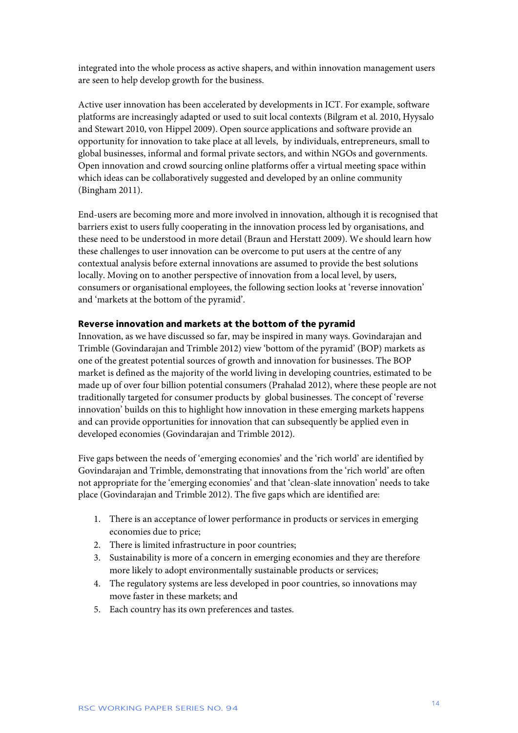integrated into the whole process as active shapers, and within innovation management users are seen to help develop growth for the business.

Active user innovation has been accelerated by developments in ICT. For example, software platforms are increasingly adapted or used to suit local contexts (Bilgram et al. 2010, Hyysalo and Stewart 2010, von Hippel 2009). Open source applications and software provide an opportunity for innovation to take place at all levels, by individuals, entrepreneurs, small to global businesses, informal and formal private sectors, and within NGOs and governments. Open innovation and crowd sourcing online platforms offer a virtual meeting space within which ideas can be collaboratively suggested and developed by an online community (Bingham 2011).

End-users are becoming more and more involved in innovation, although it is recognised that barriers exist to users fully cooperating in the innovation process led by organisations, and these need to be understood in more detail (Braun and Herstatt 2009). We should learn how these challenges to user innovation can be overcome to put users at the centre of any contextual analysis before external innovations are assumed to provide the best solutions locally. Moving on to another perspective of innovation from a local level, by users, consumers or organisational employees, the following section looks at 'reverse innovation' and 'markets at the bottom of the pyramid'.

#### **Reverse innovation and markets at the bottom of the pyramid**

Innovation, as we have discussed so far, may be inspired in many ways. Govindarajan and Trimble (Govindarajan and Trimble 2012) view 'bottom of the pyramid' (BOP) markets as one of the greatest potential sources of growth and innovation for businesses. The BOP market is defined as the majority of the world living in developing countries, estimated to be made up of over four billion potential consumers (Prahalad 2012), where these people are not traditionally targeted for consumer products by global businesses. The concept of 'reverse innovation' builds on this to highlight how innovation in these emerging markets happens and can provide opportunities for innovation that can subsequently be applied even in developed economies (Govindarajan and Trimble 2012).

Five gaps between the needs of 'emerging economies' and the 'rich world' are identified by Govindarajan and Trimble, demonstrating that innovations from the 'rich world' are often not appropriate for the 'emerging economies' and that 'clean-slate innovation' needs to take place (Govindarajan and Trimble 2012). The five gaps which are identified are:

- 1. There is an acceptance of lower performance in products or services in emerging economies due to price;
- 2. There is limited infrastructure in poor countries;
- 3. Sustainability is more of a concern in emerging economies and they are therefore more likely to adopt environmentally sustainable products or services;
- 4. The regulatory systems are less developed in poor countries, so innovations may move faster in these markets; and
- 5. Each country has its own preferences and tastes.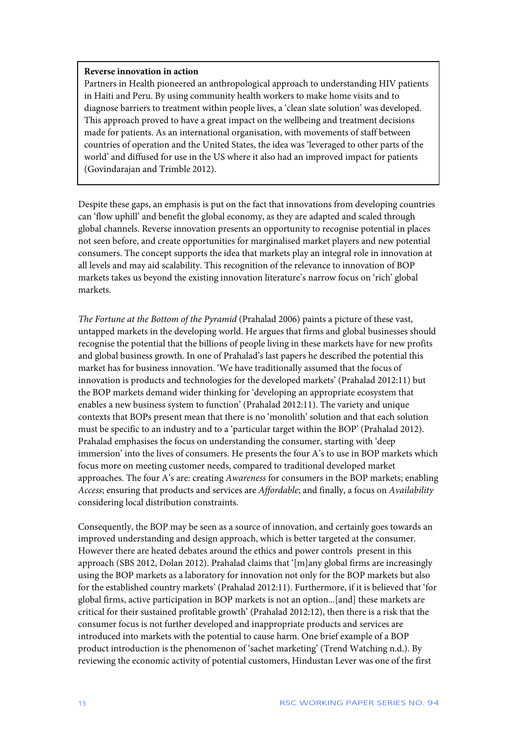#### **Reverse innovation in action**

Partners in Health pioneered an anthropological approach to understanding HIV patients in Haiti and Peru. By using community health workers to make home visits and to diagnose barriers to treatment within people lives, a 'clean slate solution' was developed. This approach proved to have a great impact on the wellbeing and treatment decisions made for patients. As an international organisation, with movements of staff between countries of operation and the United States, the idea was 'leveraged to other parts of the world' and diffused for use in the US where it also had an improved impact for patients (Govindarajan and Trimble 2012).

Despite these gaps, an emphasis is put on the fact that innovations from developing countries can 'flow uphill' and benefit the global economy, as they are adapted and scaled through global channels. Reverse innovation presents an opportunity to recognise potential in places not seen before, and create opportunities for marginalised market players and new potential consumers. The concept supports the idea that markets play an integral role in innovation at all levels and may aid scalability. This recognition of the relevance to innovation of BOP markets takes us beyond the existing innovation literature's narrow focus on 'rich' global markets.

*The Fortune at the Bottom of the Pyramid* (Prahalad 2006) paints a picture of these vast, untapped markets in the developing world. He argues that firms and global businesses should recognise the potential that the billions of people living in these markets have for new profits and global business growth. In one of Prahalad's last papers he described the potential this market has for business innovation. 'We have traditionally assumed that the focus of innovation is products and technologies for the developed markets' (Prahalad 2012:11) but the BOP markets demand wider thinking for 'developing an appropriate ecosystem that enables a new business system to function' (Prahalad 2012:11). The variety and unique contexts that BOPs present mean that there is no 'monolith' solution and that each solution must be specific to an industry and to a 'particular target within the BOP' (Prahalad 2012). Prahalad emphasises the focus on understanding the consumer, starting with 'deep immersion' into the lives of consumers. He presents the four A's to use in BOP markets which focus more on meeting customer needs, compared to traditional developed market approaches. The four A's are: creating *Awareness* for consumers in the BOP markets; enabling *Access*; ensuring that products and services are *Affordable*; and finally, a focus on *Availability* considering local distribution constraints.

Consequently, the BOP may be seen as a source of innovation, and certainly goes towards an improved understanding and design approach, which is better targeted at the consumer. However there are heated debates around the ethics and power controls present in this approach (SBS 2012, Dolan 2012). Prahalad claims that '[m]any global firms are increasingly using the BOP markets as a laboratory for innovation not only for the BOP markets but also for the established country markets' (Prahalad 2012:11). Furthermore, if it is believed that 'for global firms, active participation in BOP markets is not an option...[and] these markets are critical for their sustained profitable growth' (Prahalad 2012:12), then there is a risk that the consumer focus is not further developed and inappropriate products and services are introduced into markets with the potential to cause harm. One brief example of a BOP product introduction is the phenomenon of 'sachet marketing' (Trend Watching n.d.). By reviewing the economic activity of potential customers, Hindustan Lever was one of the first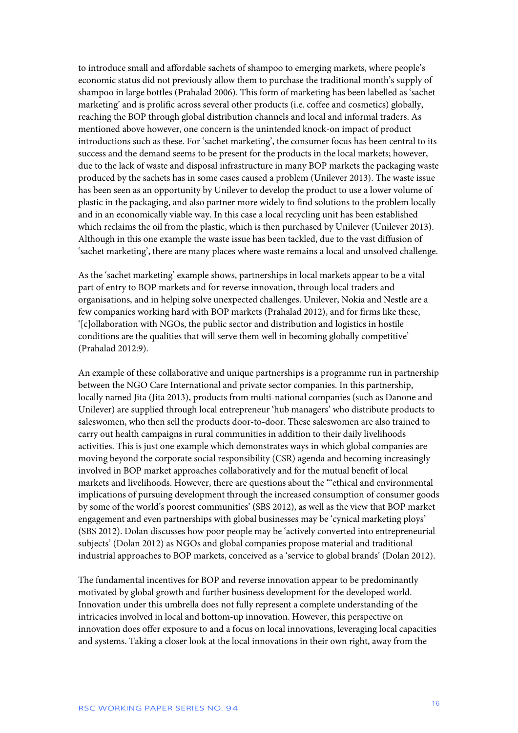to introduce small and affordable sachets of shampoo to emerging markets, where people's economic status did not previously allow them to purchase the traditional month's supply of shampoo in large bottles (Prahalad 2006). This form of marketing has been labelled as 'sachet marketing' and is prolific across several other products (i.e. coffee and cosmetics) globally, reaching the BOP through global distribution channels and local and informal traders. As mentioned above however, one concern is the unintended knock-on impact of product introductions such as these. For 'sachet marketing', the consumer focus has been central to its success and the demand seems to be present for the products in the local markets; however, due to the lack of waste and disposal infrastructure in many BOP markets the packaging waste produced by the sachets has in some cases caused a problem (Unilever 2013). The waste issue has been seen as an opportunity by Unilever to develop the product to use a lower volume of plastic in the packaging, and also partner more widely to find solutions to the problem locally and in an economically viable way. In this case a local recycling unit has been established which reclaims the oil from the plastic, which is then purchased by Unilever (Unilever 2013). Although in this one example the waste issue has been tackled, due to the vast diffusion of 'sachet marketing', there are many places where waste remains a local and unsolved challenge.

As the 'sachet marketing' example shows, partnerships in local markets appear to be a vital part of entry to BOP markets and for reverse innovation, through local traders and organisations, and in helping solve unexpected challenges. Unilever, Nokia and Nestle are a few companies working hard with BOP markets (Prahalad 2012), and for firms like these, '[c]ollaboration with NGOs, the public sector and distribution and logistics in hostile conditions are the qualities that will serve them well in becoming globally competitive' (Prahalad 2012:9).

An example of these collaborative and unique partnerships is a programme run in partnership between the NGO Care International and private sector companies. In this partnership, locally named Jita (Jita 2013), products from multi-national companies (such as Danone and Unilever) are supplied through local entrepreneur 'hub managers' who distribute products to saleswomen, who then sell the products door-to-door. These saleswomen are also trained to carry out health campaigns in rural communities in addition to their daily livelihoods activities. This is just one example which demonstrates ways in which global companies are moving beyond the corporate social responsibility (CSR) agenda and becoming increasingly involved in BOP market approaches collaboratively and for the mutual benefit of local markets and livelihoods. However, there are questions about the "'ethical and environmental implications of pursuing development through the increased consumption of consumer goods by some of the world's poorest communities' (SBS 2012), as well as the view that BOP market engagement and even partnerships with global businesses may be 'cynical marketing ploys' (SBS 2012). Dolan discusses how poor people may be 'actively converted into entrepreneurial subjects' (Dolan 2012) as NGOs and global companies propose material and traditional industrial approaches to BOP markets, conceived as a 'service to global brands' (Dolan 2012).

The fundamental incentives for BOP and reverse innovation appear to be predominantly motivated by global growth and further business development for the developed world. Innovation under this umbrella does not fully represent a complete understanding of the intricacies involved in local and bottom-up innovation. However, this perspective on innovation does offer exposure to and a focus on local innovations, leveraging local capacities and systems. Taking a closer look at the local innovations in their own right, away from the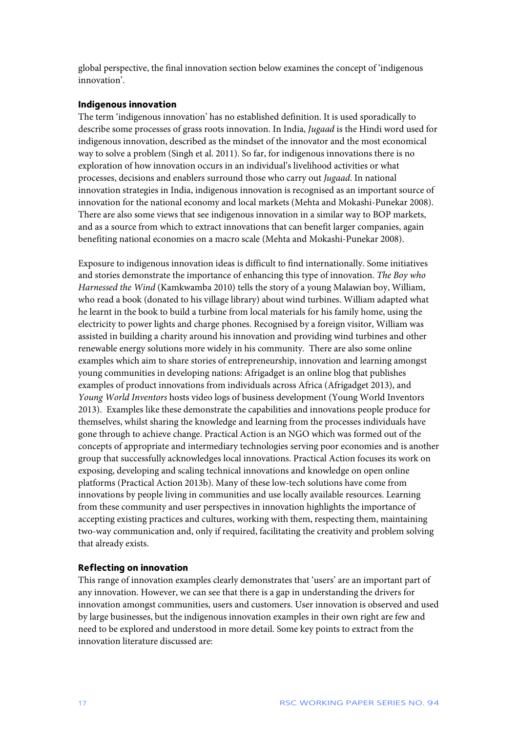global perspective, the final innovation section below examines the concept of 'indigenous innovation'.

#### **Indigenous innovation**

The term 'indigenous innovation' has no established definition. It is used sporadically to describe some processes of grass roots innovation. In India, *Jugaad* is the Hindi word used for indigenous innovation, described as the mindset of the innovator and the most economical way to solve a problem (Singh et al. 2011). So far, for indigenous innovations there is no exploration of how innovation occurs in an individual's livelihood activities or what processes, decisions and enablers surround those who carry out *Jugaad*. In national innovation strategies in India, indigenous innovation is recognised as an important source of innovation for the national economy and local markets (Mehta and Mokashi-Punekar 2008). There are also some views that see indigenous innovation in a similar way to BOP markets, and as a source from which to extract innovations that can benefit larger companies, again benefiting national economies on a macro scale (Mehta and Mokashi-Punekar 2008).

Exposure to indigenous innovation ideas is difficult to find internationally. Some initiatives and stories demonstrate the importance of enhancing this type of innovation. *The Boy who Harnessed the Wind* (Kamkwamba 2010) tells the story of a young Malawian boy, William, who read a book (donated to his village library) about wind turbines. William adapted what he learnt in the book to build a turbine from local materials for his family home, using the electricity to power lights and charge phones. Recognised by a foreign visitor, William was assisted in building a charity around his innovation and providing wind turbines and other renewable energy solutions more widely in his community. There are also some online examples which aim to share stories of entrepreneurship, innovation and learning amongst young communities in developing nations: Afrigadget is an online blog that publishes examples of product innovations from individuals across Africa (Afrigadget 2013), and *Young World Inventors* hosts video logs of business development (Young World Inventors 2013). Examples like these demonstrate the capabilities and innovations people produce for themselves, whilst sharing the knowledge and learning from the processes individuals have gone through to achieve change. Practical Action is an NGO which was formed out of the concepts of appropriate and intermediary technologies serving poor economies and is another group that successfully acknowledges local innovations. Practical Action focuses its work on exposing, developing and scaling technical innovations and knowledge on open online platforms (Practical Action 2013b). Many of these low-tech solutions have come from innovations by people living in communities and use locally available resources. Learning from these community and user perspectives in innovation highlights the importance of accepting existing practices and cultures, working with them, respecting them, maintaining two-way communication and, only if required, facilitating the creativity and problem solving that already exists.

#### **Reflecting on innovation**

This range of innovation examples clearly demonstrates that 'users' are an important part of any innovation. However, we can see that there is a gap in understanding the drivers for innovation amongst communities, users and customers. User innovation is observed and used by large businesses, but the indigenous innovation examples in their own right are few and need to be explored and understood in more detail. Some key points to extract from the innovation literature discussed are: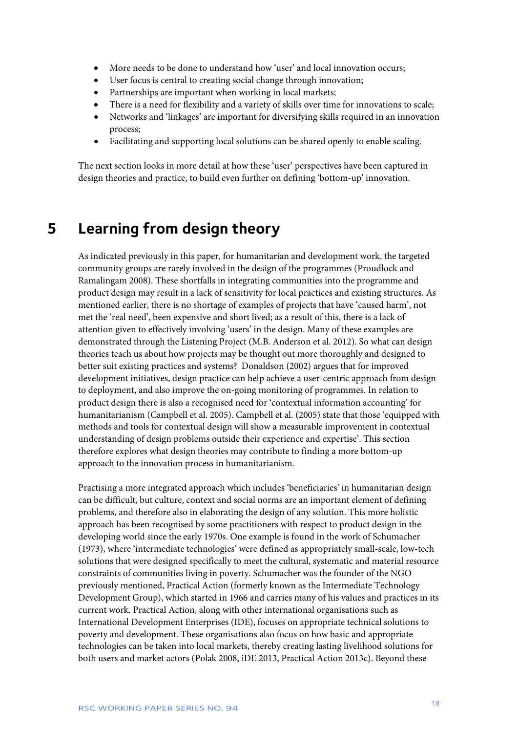- More needs to be done to understand how 'user' and local innovation occurs;
- User focus is central to creating social change through innovation;
- Partnerships are important when working in local markets;
- There is a need for flexibility and a variety of skills over time for innovations to scale;
- Networks and 'linkages' are important for diversifying skills required in an innovation process;
- Facilitating and supporting local solutions can be shared openly to enable scaling.

The next section looks in more detail at how these 'user' perspectives have been captured in design theories and practice, to build even further on defining 'bottom-up' innovation.

### **5 Learning from design theory**

As indicated previously in this paper, for humanitarian and development work, the targeted community groups are rarely involved in the design of the programmes (Proudlock and Ramalingam 2008). These shortfalls in integrating communities into the programme and product design may result in a lack of sensitivity for local practices and existing structures. As mentioned earlier, there is no shortage of examples of projects that have 'caused harm', not met the 'real need', been expensive and short lived; as a result of this, there is a lack of attention given to effectively involving 'users' in the design. Many of these examples are demonstrated through the Listening Project (M.B. Anderson et al. 2012). So what can design theories teach us about how projects may be thought out more thoroughly and designed to better suit existing practices and systems? Donaldson (2002) argues that for improved development initiatives, design practice can help achieve a user-centric approach from design to deployment, and also improve the on-going monitoring of programmes. In relation to product design there is also a recognised need for 'contextual information accounting' for humanitarianism (Campbell et al. 2005). Campbell et al. (2005) state that those 'equipped with methods and tools for contextual design will show a measurable improvement in contextual understanding of design problems outside their experience and expertise'. This section therefore explores what design theories may contribute to finding a more bottom-up approach to the innovation process in humanitarianism.

Practising a more integrated approach which includes 'beneficiaries' in humanitarian design can be difficult, but culture, context and social norms are an important element of defining problems, and therefore also in elaborating the design of any solution. This more holistic approach has been recognised by some practitioners with respect to product design in the developing world since the early 1970s. One example is found in the work of Schumacher (1973), where 'intermediate technologies' were defined as appropriately small-scale, low-tech solutions that were designed specifically to meet the cultural, systematic and material resource constraints of communities living in poverty. Schumacher was the founder of the NGO previously mentioned, Practical Action (formerly known as the Intermediate Technology Development Group), which started in 1966 and carries many of his values and practices in its current work. Practical Action, along with other international organisations such as International Development Enterprises (IDE), focuses on appropriate technical solutions to poverty and development. These organisations also focus on how basic and appropriate technologies can be taken into local markets, thereby creating lasting livelihood solutions for both users and market actors (Polak 2008, iDE 2013, Practical Action 2013c). Beyond these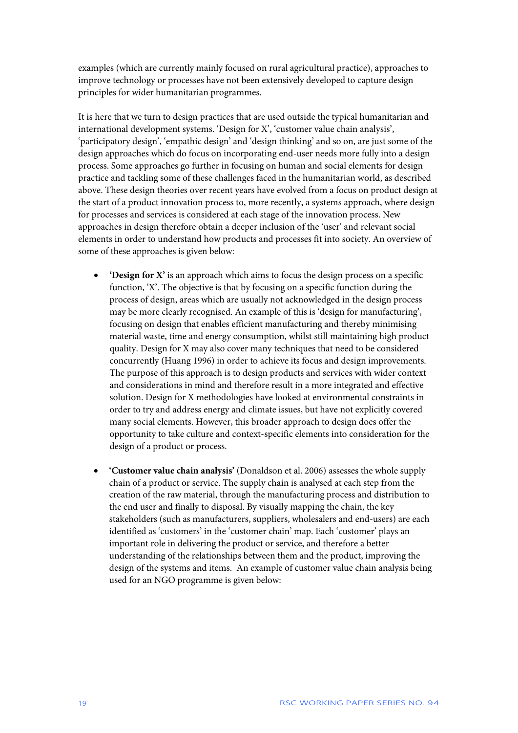examples (which are currently mainly focused on rural agricultural practice), approaches to improve technology or processes have not been extensively developed to capture design principles for wider humanitarian programmes.

It is here that we turn to design practices that are used outside the typical humanitarian and international development systems. 'Design for X', 'customer value chain analysis', 'participatory design', 'empathic design' and 'design thinking' and so on, are just some of the design approaches which do focus on incorporating end-user needs more fully into a design process. Some approaches go further in focusing on human and social elements for design practice and tackling some of these challenges faced in the humanitarian world, as described above. These design theories over recent years have evolved from a focus on product design at the start of a product innovation process to, more recently, a systems approach, where design for processes and services is considered at each stage of the innovation process. New approaches in design therefore obtain a deeper inclusion of the 'user' and relevant social elements in order to understand how products and processes fit into society. An overview of some of these approaches is given below:

- **'Design for X'** is an approach which aims to focus the design process on a specific function, 'X'. The objective is that by focusing on a specific function during the process of design, areas which are usually not acknowledged in the design process may be more clearly recognised. An example of this is 'design for manufacturing', focusing on design that enables efficient manufacturing and thereby minimising material waste, time and energy consumption, whilst still maintaining high product quality. Design for X may also cover many techniques that need to be considered concurrently (Huang 1996) in order to achieve its focus and design improvements. The purpose of this approach is to design products and services with wider context and considerations in mind and therefore result in a more integrated and effective solution. Design for X methodologies have looked at environmental constraints in order to try and address energy and climate issues, but have not explicitly covered many social elements. However, this broader approach to design does offer the opportunity to take culture and context-specific elements into consideration for the design of a product or process.
- **'Customer value chain analysis'** (Donaldson et al. 2006) assesses the whole supply chain of a product or service. The supply chain is analysed at each step from the creation of the raw material, through the manufacturing process and distribution to the end user and finally to disposal. By visually mapping the chain, the key stakeholders (such as manufacturers, suppliers, wholesalers and end-users) are each identified as 'customers' in the 'customer chain' map. Each 'customer' plays an important role in delivering the product or service, and therefore a better understanding of the relationships between them and the product, improving the design of the systems and items. An example of customer value chain analysis being used for an NGO programme is given below: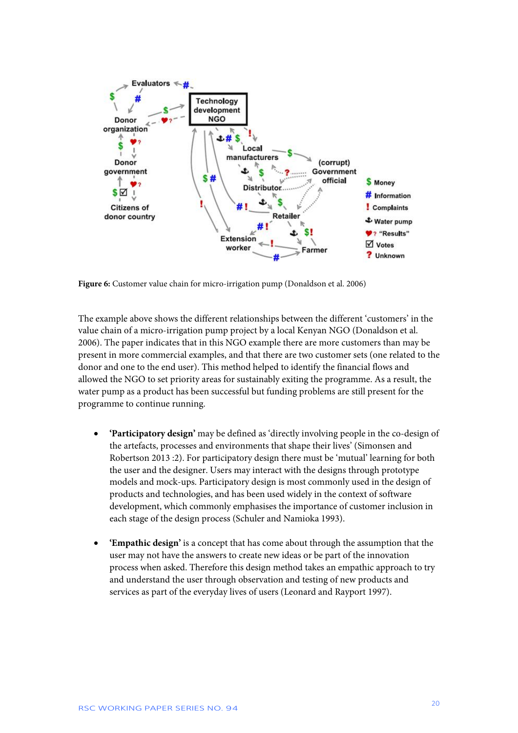

Figure 6: Customer value chain for micro-irrigation pump (Donaldson et al. 2006)

The example above shows the different relationships between the different 'customers' in the value chain of a micro-irrigation pump project by a local Kenyan NGO (Donaldson et al. 2006). The paper indicates that in this NGO example there are more customers than may be present in more commercial examples, and that there are two customer sets (one related to the donor and one to the end user). This method helped to identify the financial flows and allowed the NGO to set priority areas for sustainably exiting the programme. As a result, the water pump as a product has been successful but funding problems are still present for the programme to continue running.

- **'Participatory design'** may be defined as 'directly involving people in the co-design of the artefacts, processes and environments that shape their lives' (Simonsen and Robertson 2013 :2). For participatory design there must be 'mutual' learning for both the user and the designer. Users may interact with the designs through prototype models and mock-ups. Participatory design is most commonly used in the design of products and technologies, and has been used widely in the context of software development, which commonly emphasises the importance of customer inclusion in each stage of the design process (Schuler and Namioka 1993).
- **'Empathic design'** is a concept that has come about through the assumption that the user may not have the answers to create new ideas or be part of the innovation process when asked. Therefore this design method takes an empathic approach to try and understand the user through observation and testing of new products and services as part of the everyday lives of users (Leonard and Rayport 1997).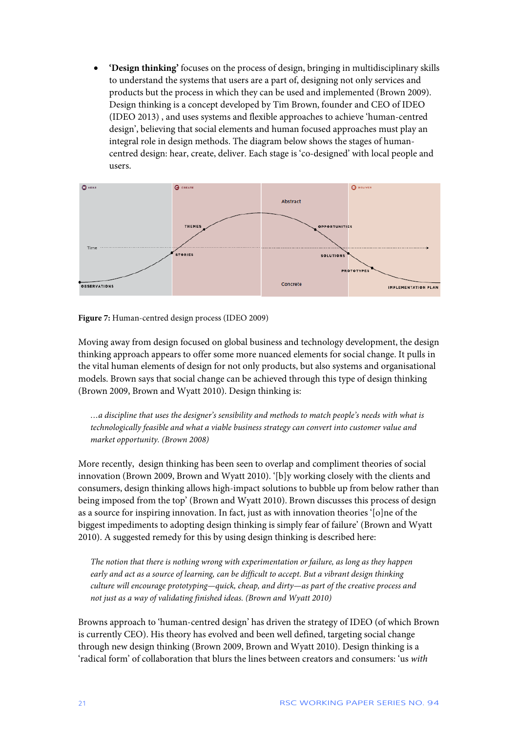• **'Design thinking'** focuses on the process of design, bringing in multidisciplinary skills to understand the systems that users are a part of, designing not only services and products but the process in which they can be used and implemented (Brown 2009). Design thinking is a concept developed by Tim Brown, founder and CEO of IDEO (IDEO 2013) , and uses systems and flexible approaches to achieve 'human-centred design', believing that social elements and human focused approaches must play an integral role in design methods. The diagram below shows the stages of humancentred design: hear, create, deliver. Each stage is 'co-designed' with local people and users.



**Figure 7:** Human-centred design process (IDEO 2009)

Moving away from design focused on global business and technology development, the design thinking approach appears to offer some more nuanced elements for social change. It pulls in the vital human elements of design for not only products, but also systems and organisational models. Brown says that social change can be achieved through this type of design thinking (Brown 2009, Brown and Wyatt 2010). Design thinking is:

*…a discipline that uses the designer's sensibility and methods to match people's needs with what is technologically feasible and what a viable business strategy can [convert](http://observatory.designobserver.com/entry.html?entry=11097) into customer value and market opportunity. (Brown 2008)*

More recently, design thinking has been seen to overlap and compliment theories of social innovation (Brown 2009, Brown and Wyatt 2010). '[b]y working closely with the clients and consumers, design thinking allows high-impact solutions to bubble up from below rather than being imposed from the top' (Brown and Wyatt 2010). Brown discusses this process of design as a source for inspiring innovation. In fact, just as with innovation theories '[o]ne of the biggest impediments to adopting design thinking is simply fear of failure' (Brown and Wyatt 2010). A suggested remedy for this by using design thinking is described here:

*The notion that there is nothing wrong with experimentation or failure, as long as they happen early and act as a source of learning, can be difficult to accept. But a vibrant design thinking culture will encourage prototyping—quick, cheap, and dirty—as part of the creative process and not just as a way of validating finished ideas. (Brown and Wyatt 2010)*

Browns approach to 'human-centred design' has driven the strategy of IDEO (of which Brown is currently CEO). His theory has evolved and been well defined, targeting social change through new design thinking (Brown 2009, Brown and Wyatt 2010). Design thinking is a 'radical form' of collaboration that blurs the lines between creators and consumers: 'us *with*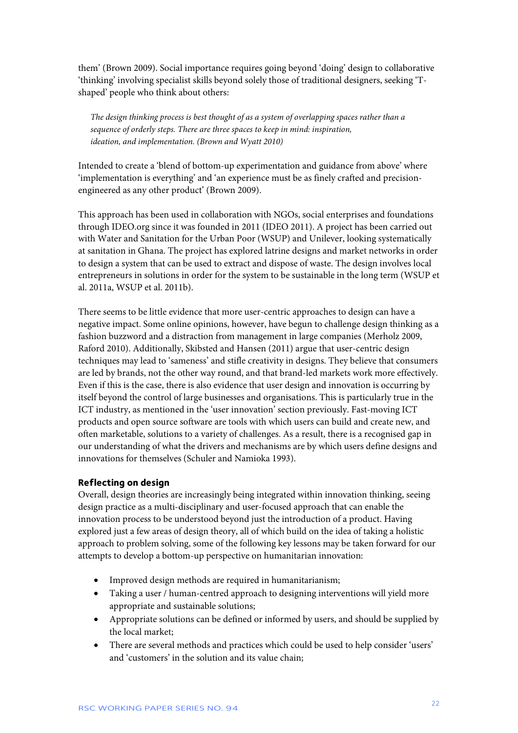them' (Brown 2009). Social importance requires going beyond 'doing' design to collaborative 'thinking' involving specialist skills beyond solely those of traditional designers, seeking 'Tshaped' people who think about others:

*The design thinking process is best thought of as a system of overlapping spaces rather than a sequence of orderly steps. There are three spaces to keep in mind: inspiration, ideation, and implementation. (Brown and Wyatt 2010)*

Intended to create a 'blend of bottom-up experimentation and guidance from above' where 'implementation is everything' and 'an experience must be as finely crafted and precisionengineered as any other product' (Brown 2009).

This approach has been used in collaboration with NGOs, social enterprises and foundations through IDEO.org since it was founded in 2011 (IDEO 2011). A project has been carried out with Water and Sanitation for the Urban Poor (WSUP) and Unilever, looking systematically at sanitation in Ghana. The project has explored latrine designs and market networks in order to design a system that can be used to extract and dispose of waste. The design involves local entrepreneurs in solutions in order for the system to be sustainable in the long term (WSUP et al. 2011a, WSUP et al. 2011b).

There seems to be little evidence that more user-centric approaches to design can have a negative impact. Some online opinions, however, have begun to challenge design thinking as a fashion buzzword and a distraction from management in large companies (Merholz 2009, Raford 2010). Additionally, Skibsted and Hansen (2011) argue that user-centric design techniques may lead to 'sameness' and stifle creativity in designs. They believe that consumers are led by brands, not the other way round, and that brand-led markets work more effectively. Even if this is the case, there is also evidence that user design and innovation is occurring by itself beyond the control of large businesses and organisations. This is particularly true in the ICT industry, as mentioned in the 'user innovation' section previously. Fast-moving ICT products and open source software are tools with which users can build and create new, and often marketable, solutions to a variety of challenges. As a result, there is a recognised gap in our understanding of what the drivers and mechanisms are by which users define designs and innovations for themselves (Schuler and Namioka 1993).

#### **Reflecting on design**

Overall, design theories are increasingly being integrated within innovation thinking, seeing design practice as a multi-disciplinary and user-focused approach that can enable the innovation process to be understood beyond just the introduction of a product. Having explored just a few areas of design theory, all of which build on the idea of taking a holistic approach to problem solving, some of the following key lessons may be taken forward for our attempts to develop a bottom-up perspective on humanitarian innovation:

- Improved design methods are required in humanitarianism;
- Taking a user / human-centred approach to designing interventions will yield more appropriate and sustainable solutions;
- Appropriate solutions can be defined or informed by users, and should be supplied by the local market;
- There are several methods and practices which could be used to help consider 'users' and 'customers' in the solution and its value chain;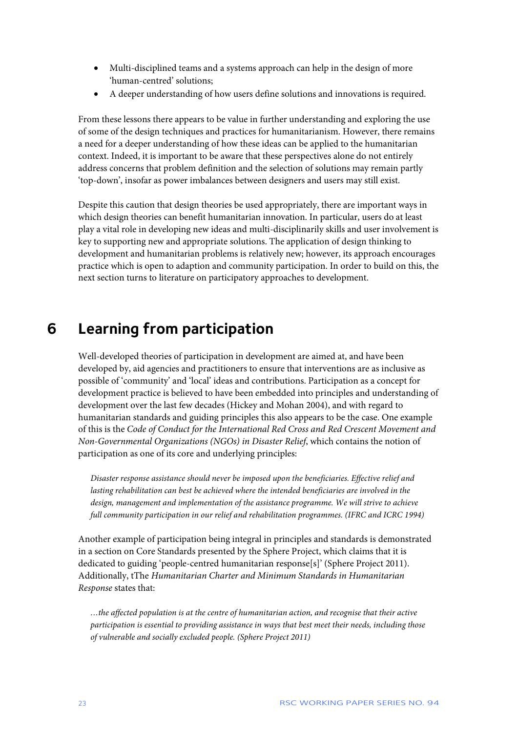- Multi-disciplined teams and a systems approach can help in the design of more 'human-centred' solutions;
- A deeper understanding of how users define solutions and innovations is required.

From these lessons there appears to be value in further understanding and exploring the use of some of the design techniques and practices for humanitarianism. However, there remains a need for a deeper understanding of how these ideas can be applied to the humanitarian context. Indeed, it is important to be aware that these perspectives alone do not entirely address concerns that problem definition and the selection of solutions may remain partly 'top-down', insofar as power imbalances between designers and users may still exist.

Despite this caution that design theories be used appropriately, there are important ways in which design theories can benefit humanitarian innovation. In particular, users do at least play a vital role in developing new ideas and multi-disciplinarily skills and user involvement is key to supporting new and appropriate solutions. The application of design thinking to development and humanitarian problems is relatively new; however, its approach encourages practice which is open to adaption and community participation. In order to build on this, the next section turns to literature on participatory approaches to development.

### **6 Learning from participation**

Well-developed theories of participation in development are aimed at, and have been developed by, aid agencies and practitioners to ensure that interventions are as inclusive as possible of 'community' and 'local' ideas and contributions. Participation as a concept for development practice is believed to have been embedded into principles and understanding of development over the last few decades (Hickey and Mohan 2004), and with regard to humanitarian standards and guiding principles this also appears to be the case. One example of this is the *Code of Conduct for the International Red Cross and Red Crescent Movement and Non-Governmental Organizations (NGOs) in Disaster Relief*, which contains the notion of participation as one of its core and underlying principles:

*Disaster response assistance should never be imposed upon the beneficiaries. Effective relief and lasting rehabilitation can best be achieved where the intended beneficiaries are involved in the design, management and implementation of the assistance programme. We will strive to achieve full community participation in our relief and rehabilitation programmes. (IFRC and ICRC 1994)*

Another example of participation being integral in principles and standards is demonstrated in a section on Core Standards presented by the Sphere Project, which claims that it is dedicated to guiding 'people-centred humanitarian response[s]' (Sphere Project 2011). Additionally, tThe *Humanitarian Charter and Minimum Standards in Humanitarian Response* states that:

*…the affected population is at the centre of humanitarian action, and recognise that their active participation is essential to providing assistance in ways that best meet their needs, including those of vulnerable and socially excluded people. (Sphere Project 2011)*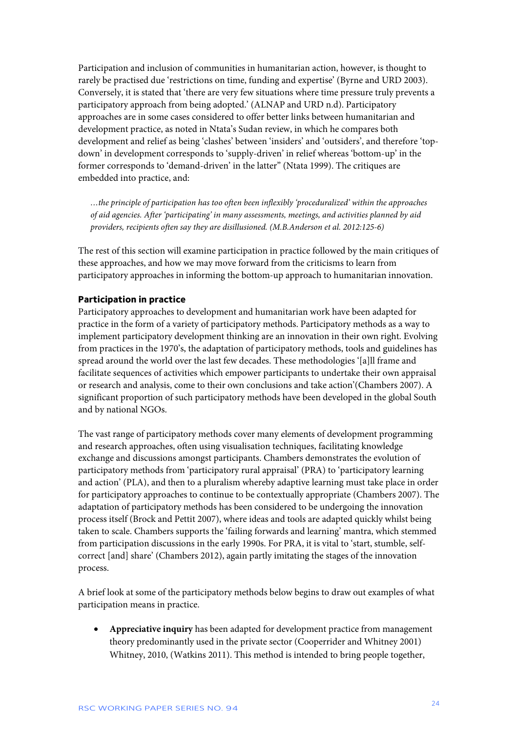Participation and inclusion of communities in humanitarian action, however, is thought to rarely be practised due 'restrictions on time, funding and expertise' (Byrne and URD 2003). Conversely, it is stated that 'there are very few situations where time pressure truly prevents a participatory approach from being adopted.' (ALNAP and URD n.d). Participatory approaches are in some cases considered to offer better links between humanitarian and development practice, as noted in Ntata's Sudan review, in which he compares both development and relief as being 'clashes' between 'insiders' and 'outsiders', and therefore 'topdown' in development corresponds to 'supply-driven' in relief whereas 'bottom-up' in the former corresponds to 'demand-driven' in the latter" (Ntata 1999). The critiques are embedded into practice, and:

*…the principle of participation has too often been inflexibly 'proceduralized' within the approaches of aid agencies. After 'participating' in many assessments, meetings, and activities planned by aid providers, recipients often say they are disillusioned. (M.B.Anderson et al. 2012:125-6)*

The rest of this section will examine participation in practice followed by the main critiques of these approaches, and how we may move forward from the criticisms to learn from participatory approaches in informing the bottom-up approach to humanitarian innovation.

#### **Participation in practice**

Participatory approaches to development and humanitarian work have been adapted for practice in the form of a variety of participatory methods. Participatory methods as a way to implement participatory development thinking are an innovation in their own right. Evolving from practices in the 1970's, the adaptation of participatory methods, tools and guidelines has spread around the world over the last few decades. These methodologies '[a]ll frame and facilitate sequences of activities which empower participants to undertake their own appraisal or research and analysis, come to their own conclusions and take action'(Chambers 2007). A significant proportion of such participatory methods have been developed in the global South and by national NGOs.

The vast range of participatory methods cover many elements of development programming and research approaches, often using visualisation techniques, facilitating knowledge exchange and discussions amongst participants. Chambers demonstrates the evolution of participatory methods from 'participatory rural appraisal' (PRA) to 'participatory learning and action' (PLA), and then to a pluralism whereby adaptive learning must take place in order for participatory approaches to continue to be contextually appropriate (Chambers 2007). The adaptation of participatory methods has been considered to be undergoing the innovation process itself (Brock and Pettit 2007), where ideas and tools are adapted quickly whilst being taken to scale. Chambers supports the 'failing forwards and learning' mantra, which stemmed from participation discussions in the early 1990s. For PRA, it is vital to 'start, stumble, selfcorrect [and] share' (Chambers 2012), again partly imitating the stages of the innovation process.

A brief look at some of the participatory methods below begins to draw out examples of what participation means in practice.

• **Appreciative inquiry** has been adapted for development practice from management theory predominantly used in the private sector (Cooperrider and Whitney 2001) Whitney, 2010, (Watkins 2011). This method is intended to bring people together,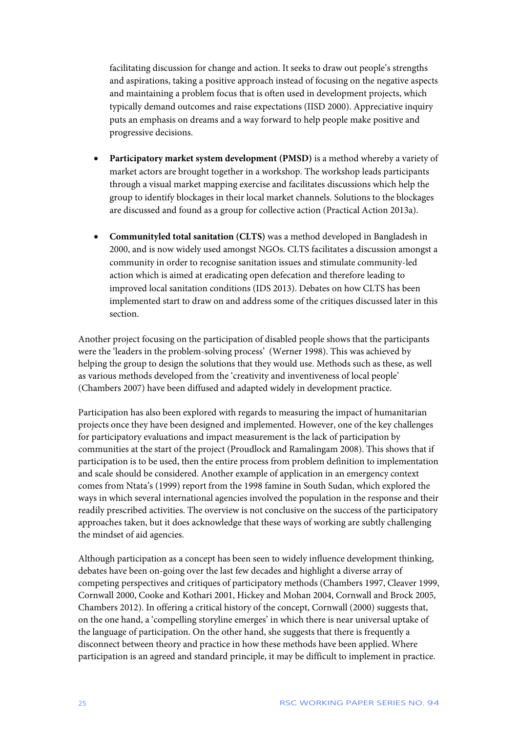facilitating discussion for change and action. It seeks to draw out people's strengths and aspirations, taking a positive approach instead of focusing on the negative aspects and maintaining a problem focus that is often used in development projects, which typically demand outcomes and raise expectations (IISD 2000). Appreciative inquiry puts an emphasis on dreams and a way forward to help people make positive and progressive decisions.

- **Participatory market system development (PMSD)** is a method whereby a variety of market actors are brought together in a workshop. The workshop leads participants through a visual market mapping exercise and facilitates discussions which help the group to identify blockages in their local market channels. Solutions to the blockages are discussed and found as a group for collective action (Practical Action 2013a).
- **Communityled total sanitation (CLTS)** was a method developed in Bangladesh in 2000, and is now widely used amongst NGOs. CLTS facilitates a discussion amongst a community in order to recognise sanitation issues and stimulate community-led action which is aimed at eradicating open defecation and therefore leading to improved local sanitation conditions (IDS 2013). Debates on how CLTS has been implemented start to draw on and address some of the critiques discussed later in this section.

Another project focusing on the participation of disabled people shows that the participants were the 'leaders in the problem-solving process' (Werner 1998). This was achieved by helping the group to design the solutions that they would use. Methods such as these, as well as various methods developed from the 'creativity and inventiveness of local people' (Chambers 2007) have been diffused and adapted widely in development practice.

Participation has also been explored with regards to measuring the impact of humanitarian projects once they have been designed and implemented. However, one of the key challenges for participatory evaluations and impact measurement is the lack of participation by communities at the start of the project (Proudlock and Ramalingam 2008). This shows that if participation is to be used, then the entire process from problem definition to implementation and scale should be considered. Another example of application in an emergency context comes from Ntata's (1999) report from the 1998 famine in South Sudan, which explored the ways in which several international agencies involved the population in the response and their readily prescribed activities. The overview is not conclusive on the success of the participatory approaches taken, but it does acknowledge that these ways of working are subtly challenging the mindset of aid agencies.

Although participation as a concept has been seen to widely influence development thinking, debates have been on-going over the last few decades and highlight a diverse array of competing perspectives and critiques of participatory methods (Chambers 1997, Cleaver 1999, Cornwall 2000, Cooke and Kothari 2001, Hickey and Mohan 2004, Cornwall and Brock 2005, Chambers 2012). In offering a critical history of the concept, Cornwall (2000) suggests that, on the one hand, a 'compelling storyline emerges' in which there is near universal uptake of the language of participation. On the other hand, she suggests that there is frequently a disconnect between theory and practice in how these methods have been applied. Where participation is an agreed and standard principle, it may be difficult to implement in practice.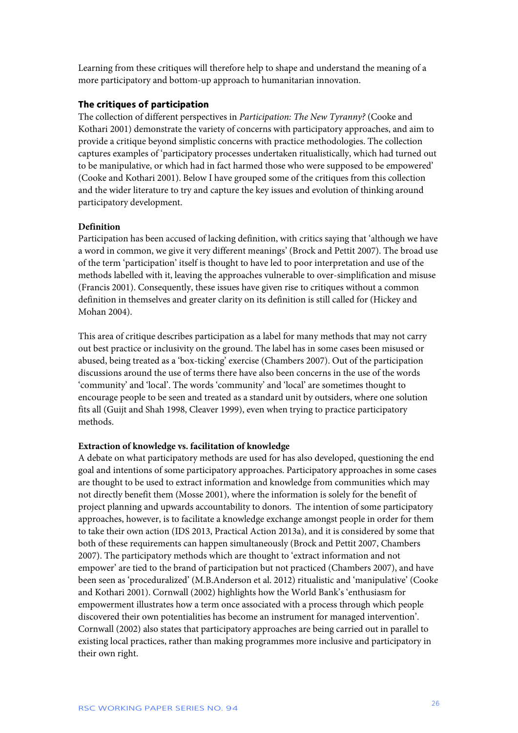Learning from these critiques will therefore help to shape and understand the meaning of a more participatory and bottom-up approach to humanitarian innovation.

#### **The critiques of participation**

The collection of different perspectives in *Participation: The New Tyranny?* (Cooke and Kothari 2001) demonstrate the variety of concerns with participatory approaches, and aim to provide a critique beyond simplistic concerns with practice methodologies. The collection captures examples of 'participatory processes undertaken ritualistically, which had turned out to be manipulative, or which had in fact harmed those who were supposed to be empowered' (Cooke and Kothari 2001). Below I have grouped some of the critiques from this collection and the wider literature to try and capture the key issues and evolution of thinking around participatory development.

#### **Definition**

Participation has been accused of lacking definition, with critics saying that 'although we have a word in common, we give it very different meanings' (Brock and Pettit 2007). The broad use of the term 'participation' itself is thought to have led to poor interpretation and use of the methods labelled with it, leaving the approaches vulnerable to over-simplification and misuse (Francis 2001). Consequently, these issues have given rise to critiques without a common definition in themselves and greater clarity on its definition is still called for (Hickey and Mohan 2004).

This area of critique describes participation as a label for many methods that may not carry out best practice or inclusivity on the ground. The label has in some cases been misused or abused, being treated as a 'box-ticking' exercise (Chambers 2007). Out of the participation discussions around the use of terms there have also been concerns in the use of the words 'community' and 'local'. The words 'community' and 'local' are sometimes thought to encourage people to be seen and treated as a standard unit by outsiders, where one solution fits all (Guijt and Shah 1998, Cleaver 1999), even when trying to practice participatory methods.

#### **Extraction of knowledge vs. facilitation of knowledge**

A debate on what participatory methods are used for has also developed, questioning the end goal and intentions of some participatory approaches. Participatory approaches in some cases are thought to be used to extract information and knowledge from communities which may not directly benefit them (Mosse 2001), where the information is solely for the benefit of project planning and upwards accountability to donors. The intention of some participatory approaches, however, is to facilitate a knowledge exchange amongst people in order for them to take their own action (IDS 2013, Practical Action 2013a), and it is considered by some that both of these requirements can happen simultaneously (Brock and Pettit 2007, Chambers 2007). The participatory methods which are thought to 'extract information and not empower' are tied to the brand of participation but not practiced (Chambers 2007), and have been seen as 'proceduralized' (M.B.Anderson et al. 2012) ritualistic and 'manipulative' (Cooke and Kothari 2001). Cornwall (2002) highlights how the World Bank's 'enthusiasm for empowerment illustrates how a term once associated with a process through which people discovered their own potentialities has become an instrument for managed intervention'. Cornwall (2002) also states that participatory approaches are being carried out in parallel to existing local practices, rather than making programmes more inclusive and participatory in their own right.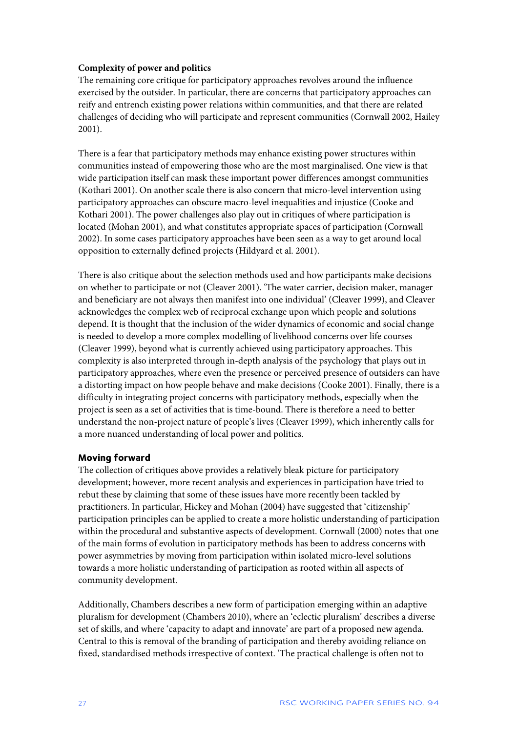#### **Complexity of power and politics**

The remaining core critique for participatory approaches revolves around the influence exercised by the outsider. In particular, there are concerns that participatory approaches can reify and entrench existing power relations within communities, and that there are related challenges of deciding who will participate and represent communities (Cornwall 2002, Hailey 2001).

There is a fear that participatory methods may enhance existing power structures within communities instead of empowering those who are the most marginalised. One view is that wide participation itself can mask these important power differences amongst communities (Kothari 2001). On another scale there is also concern that micro-level intervention using participatory approaches can obscure macro-level inequalities and injustice (Cooke and Kothari 2001). The power challenges also play out in critiques of where participation is located (Mohan 2001), and what constitutes appropriate spaces of participation (Cornwall 2002). In some cases participatory approaches have been seen as a way to get around local opposition to externally defined projects (Hildyard et al. 2001).

There is also critique about the selection methods used and how participants make decisions on whether to participate or not (Cleaver 2001). 'The water carrier, decision maker, manager and beneficiary are not always then manifest into one individual' (Cleaver 1999), and Cleaver acknowledges the complex web of reciprocal exchange upon which people and solutions depend. It is thought that the inclusion of the wider dynamics of economic and social change is needed to develop a more complex modelling of livelihood concerns over life courses (Cleaver 1999), beyond what is currently achieved using participatory approaches. This complexity is also interpreted through in-depth analysis of the psychology that plays out in participatory approaches, where even the presence or perceived presence of outsiders can have a distorting impact on how people behave and make decisions (Cooke 2001). Finally, there is a difficulty in integrating project concerns with participatory methods, especially when the project is seen as a set of activities that is time-bound. There is therefore a need to better understand the non-project nature of people's lives (Cleaver 1999), which inherently calls for a more nuanced understanding of local power and politics.

#### **Moving forward**

The collection of critiques above provides a relatively bleak picture for participatory development; however, more recent analysis and experiences in participation have tried to rebut these by claiming that some of these issues have more recently been tackled by practitioners. In particular, Hickey and Mohan (2004) have suggested that 'citizenship' participation principles can be applied to create a more holistic understanding of participation within the procedural and substantive aspects of development. Cornwall (2000) notes that one of the main forms of evolution in participatory methods has been to address concerns with power asymmetries by moving from participation within isolated micro-level solutions towards a more holistic understanding of participation as rooted within all aspects of community development.

Additionally, Chambers describes a new form of participation emerging within an adaptive pluralism for development (Chambers 2010), where an 'eclectic pluralism' describes a diverse set of skills, and where 'capacity to adapt and innovate' are part of a proposed new agenda. Central to this is removal of the branding of participation and thereby avoiding reliance on fixed, standardised methods irrespective of context. 'The practical challenge is often not to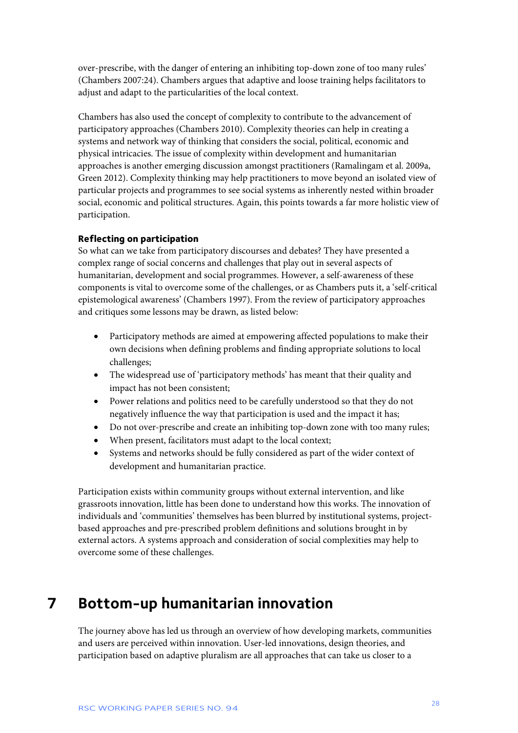over-prescribe, with the danger of entering an inhibiting top-down zone of too many rules' (Chambers 2007:24). Chambers argues that adaptive and loose training helps facilitators to adjust and adapt to the particularities of the local context.

Chambers has also used the concept of complexity to contribute to the advancement of participatory approaches (Chambers 2010). Complexity theories can help in creating a systems and network way of thinking that considers the social, political, economic and physical intricacies. The issue of complexity within development and humanitarian approaches is another emerging discussion amongst practitioners (Ramalingam et al. 2009a, Green 2012). Complexity thinking may help practitioners to move beyond an isolated view of particular projects and programmes to see social systems as inherently nested within broader social, economic and political structures. Again, this points towards a far more holistic view of participation.

#### **Reflecting on participation**

So what can we take from participatory discourses and debates? They have presented a complex range of social concerns and challenges that play out in several aspects of humanitarian, development and social programmes. However, a self-awareness of these components is vital to overcome some of the challenges, or as Chambers puts it, a 'self-critical epistemological awareness' (Chambers 1997). From the review of participatory approaches and critiques some lessons may be drawn, as listed below:

- Participatory methods are aimed at empowering affected populations to make their own decisions when defining problems and finding appropriate solutions to local challenges;
- The widespread use of 'participatory methods' has meant that their quality and impact has not been consistent;
- Power relations and politics need to be carefully understood so that they do not negatively influence the way that participation is used and the impact it has;
- Do not over-prescribe and create an inhibiting top-down zone with too many rules;
- When present, facilitators must adapt to the local context;
- Systems and networks should be fully considered as part of the wider context of development and humanitarian practice.

Participation exists within community groups without external intervention, and like grassroots innovation, little has been done to understand how this works. The innovation of individuals and 'communities' themselves has been blurred by institutional systems, projectbased approaches and pre-prescribed problem definitions and solutions brought in by external actors. A systems approach and consideration of social complexities may help to overcome some of these challenges.

### **7 Bottom-up humanitarian innovation**

The journey above has led us through an overview of how developing markets, communities and users are perceived within innovation. User-led innovations, design theories, and participation based on adaptive pluralism are all approaches that can take us closer to a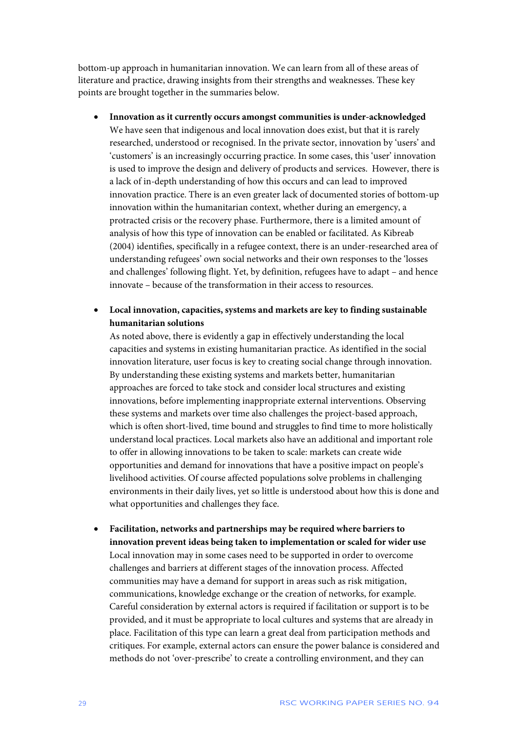bottom-up approach in humanitarian innovation. We can learn from all of these areas of literature and practice, drawing insights from their strengths and weaknesses. These key points are brought together in the summaries below.

- **Innovation as it currently occurs amongst communities is under-acknowledged** We have seen that indigenous and local innovation does exist, but that it is rarely researched, understood or recognised. In the private sector, innovation by 'users' and 'customers' is an increasingly occurring practice. In some cases, this 'user' innovation is used to improve the design and delivery of products and services. However, there is a lack of in-depth understanding of how this occurs and can lead to improved innovation practice. There is an even greater lack of documented stories of bottom-up innovation within the humanitarian context, whether during an emergency, a protracted crisis or the recovery phase. Furthermore, there is a limited amount of analysis of how this type of innovation can be enabled or facilitated. As Kibreab (2004) identifies, specifically in a refugee context, there is an under-researched area of understanding refugees' own social networks and their own responses to the 'losses and challenges' following flight. Yet, by definition, refugees have to adapt – and hence innovate – because of the transformation in their access to resources.
- **Local innovation, capacities, systems and markets are key to finding sustainable humanitarian solutions**

As noted above, there is evidently a gap in effectively understanding the local capacities and systems in existing humanitarian practice. As identified in the social innovation literature, user focus is key to creating social change through innovation. By understanding these existing systems and markets better, humanitarian approaches are forced to take stock and consider local structures and existing innovations, before implementing inappropriate external interventions. Observing these systems and markets over time also challenges the project-based approach, which is often short-lived, time bound and struggles to find time to more holistically understand local practices. Local markets also have an additional and important role to offer in allowing innovations to be taken to scale: markets can create wide opportunities and demand for innovations that have a positive impact on people's livelihood activities. Of course affected populations solve problems in challenging environments in their daily lives, yet so little is understood about how this is done and what opportunities and challenges they face.

• **Facilitation, networks and partnerships may be required where barriers to innovation prevent ideas being taken to implementation or scaled for wider use** Local innovation may in some cases need to be supported in order to overcome challenges and barriers at different stages of the innovation process. Affected communities may have a demand for support in areas such as risk mitigation, communications, knowledge exchange or the creation of networks, for example. Careful consideration by external actors is required if facilitation or support is to be provided, and it must be appropriate to local cultures and systems that are already in place. Facilitation of this type can learn a great deal from participation methods and critiques. For example, external actors can ensure the power balance is considered and methods do not 'over-prescribe' to create a controlling environment, and they can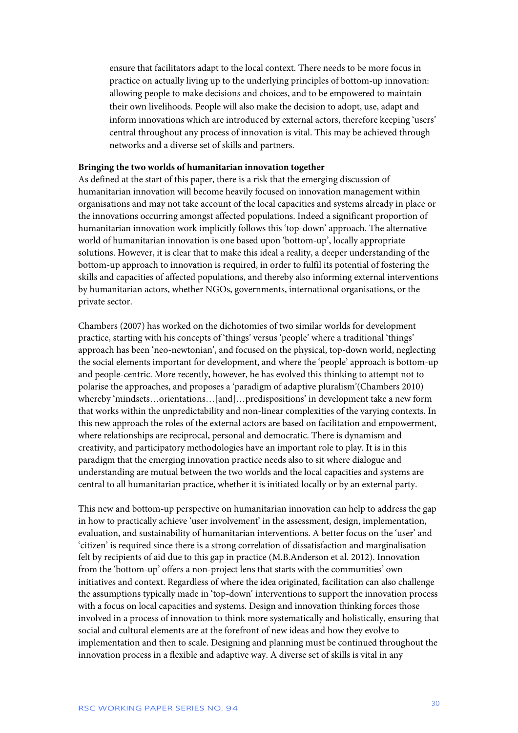ensure that facilitators adapt to the local context. There needs to be more focus in practice on actually living up to the underlying principles of bottom-up innovation: allowing people to make decisions and choices, and to be empowered to maintain their own livelihoods. People will also make the decision to adopt, use, adapt and inform innovations which are introduced by external actors, therefore keeping 'users' central throughout any process of innovation is vital. This may be achieved through networks and a diverse set of skills and partners.

#### **Bringing the two worlds of humanitarian innovation together**

As defined at the start of this paper, there is a risk that the emerging discussion of humanitarian innovation will become heavily focused on innovation management within organisations and may not take account of the local capacities and systems already in place or the innovations occurring amongst affected populations. Indeed a significant proportion of humanitarian innovation work implicitly follows this 'top-down' approach. The alternative world of humanitarian innovation is one based upon 'bottom-up', locally appropriate solutions. However, it is clear that to make this ideal a reality, a deeper understanding of the bottom-up approach to innovation is required, in order to fulfil its potential of fostering the skills and capacities of affected populations, and thereby also informing external interventions by humanitarian actors, whether NGOs, governments, international organisations, or the private sector.

Chambers (2007) has worked on the dichotomies of two similar worlds for development practice, starting with his concepts of 'things' versus 'people' where a traditional 'things' approach has been 'neo-newtonian', and focused on the physical, top-down world, neglecting the social elements important for development, and where the 'people' approach is bottom-up and people-centric. More recently, however, he has evolved this thinking to attempt not to polarise the approaches, and proposes a 'paradigm of adaptive pluralism'(Chambers 2010) whereby 'mindsets…orientations…[and]…predispositions' in development take a new form that works within the unpredictability and non-linear complexities of the varying contexts. In this new approach the roles of the external actors are based on facilitation and empowerment, where relationships are reciprocal, personal and democratic. There is dynamism and creativity, and participatory methodologies have an important role to play. It is in this paradigm that the emerging innovation practice needs also to sit where dialogue and understanding are mutual between the two worlds and the local capacities and systems are central to all humanitarian practice, whether it is initiated locally or by an external party.

This new and bottom-up perspective on humanitarian innovation can help to address the gap in how to practically achieve 'user involvement' in the assessment, design, implementation, evaluation, and sustainability of humanitarian interventions. A better focus on the 'user' and 'citizen' is required since there is a strong correlation of dissatisfaction and marginalisation felt by recipients of aid due to this gap in practice (M.B.Anderson et al. 2012). Innovation from the 'bottom-up' offers a non-project lens that starts with the communities' own initiatives and context. Regardless of where the idea originated, facilitation can also challenge the assumptions typically made in 'top-down' interventions to support the innovation process with a focus on local capacities and systems. Design and innovation thinking forces those involved in a process of innovation to think more systematically and holistically, ensuring that social and cultural elements are at the forefront of new ideas and how they evolve to implementation and then to scale. Designing and planning must be continued throughout the innovation process in a flexible and adaptive way. A diverse set of skills is vital in any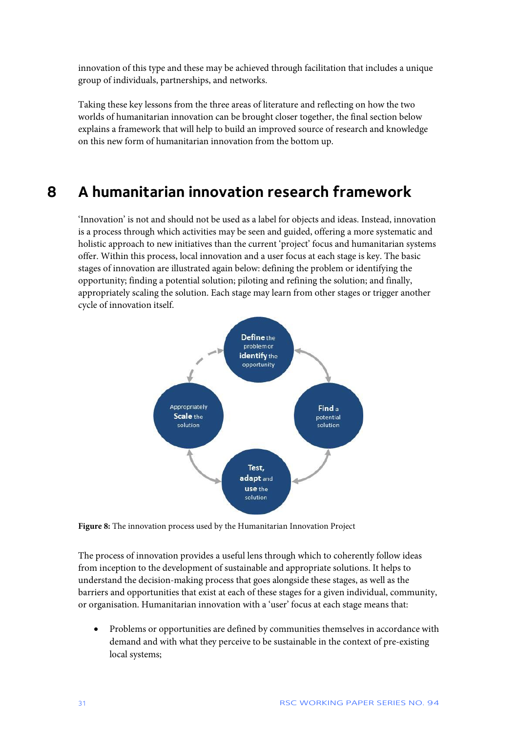innovation of this type and these may be achieved through facilitation that includes a unique group of individuals, partnerships, and networks.

Taking these key lessons from the three areas of literature and reflecting on how the two worlds of humanitarian innovation can be brought closer together, the final section below explains a framework that will help to build an improved source of research and knowledge on this new form of humanitarian innovation from the bottom up.

### **8 A humanitarian innovation research framework**

'Innovation' is not and should not be used as a label for objects and ideas. Instead, innovation is a process through which activities may be seen and guided, offering a more systematic and holistic approach to new initiatives than the current 'project' focus and humanitarian systems offer. Within this process, local innovation and a user focus at each stage is key. The basic stages of innovation are illustrated again below: defining the problem or identifying the opportunity; finding a potential solution; piloting and refining the solution; and finally, appropriately scaling the solution. Each stage may learn from other stages or trigger another cycle of innovation itself.



**Figure 8:** The innovation process used by the Humanitarian Innovation Project

The process of innovation provides a useful lens through which to coherently follow ideas from inception to the development of sustainable and appropriate solutions. It helps to understand the decision-making process that goes alongside these stages, as well as the barriers and opportunities that exist at each of these stages for a given individual, community, or organisation. Humanitarian innovation with a 'user' focus at each stage means that:

• Problems or opportunities are defined by communities themselves in accordance with demand and with what they perceive to be sustainable in the context of pre-existing local systems;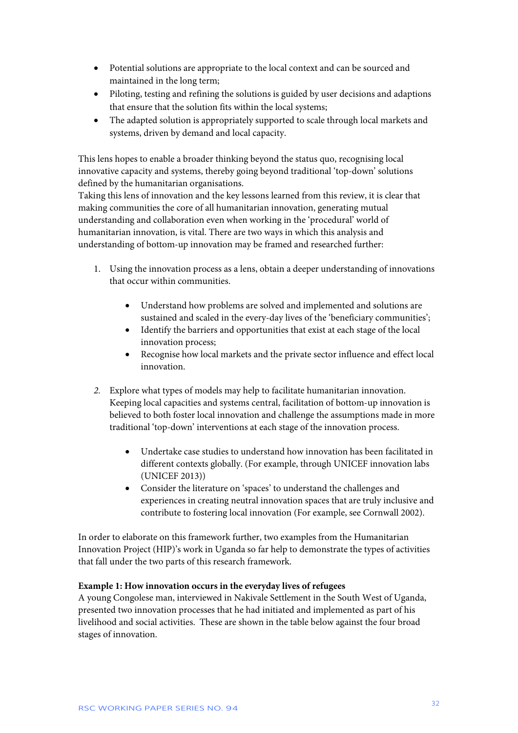- Potential solutions are appropriate to the local context and can be sourced and maintained in the long term;
- Piloting, testing and refining the solutions is guided by user decisions and adaptions that ensure that the solution fits within the local systems;
- The adapted solution is appropriately supported to scale through local markets and systems, driven by demand and local capacity.

This lens hopes to enable a broader thinking beyond the status quo, recognising local innovative capacity and systems, thereby going beyond traditional 'top-down' solutions defined by the humanitarian organisations.

Taking this lens of innovation and the key lessons learned from this review, it is clear that making communities the core of all humanitarian innovation, generating mutual understanding and collaboration even when working in the 'procedural' world of humanitarian innovation, is vital. There are two ways in which this analysis and understanding of bottom-up innovation may be framed and researched further:

- 1. Using the innovation process as a lens, obtain a deeper understanding of innovations that occur within communities.
	- Understand how problems are solved and implemented and solutions are sustained and scaled in the every-day lives of the 'beneficiary communities';
	- Identify the barriers and opportunities that exist at each stage of the local innovation process;
	- Recognise how local markets and the private sector influence and effect local innovation.
- *2.* Explore what types of models may help to facilitate humanitarian innovation. Keeping local capacities and systems central, facilitation of bottom-up innovation is believed to both foster local innovation and challenge the assumptions made in more traditional 'top-down' interventions at each stage of the innovation process.
	- Undertake case studies to understand how innovation has been facilitated in different contexts globally. (For example, through UNICEF innovation labs (UNICEF 2013))
	- Consider the literature on 'spaces' to understand the challenges and experiences in creating neutral innovation spaces that are truly inclusive and contribute to fostering local innovation (For example, see Cornwall 2002).

In order to elaborate on this framework further, two examples from the Humanitarian Innovation Project (HIP)'s work in Uganda so far help to demonstrate the types of activities that fall under the two parts of this research framework.

#### **Example 1: How innovation occurs in the everyday lives of refugees**

A young Congolese man, interviewed in Nakivale Settlement in the South West of Uganda, presented two innovation processes that he had initiated and implemented as part of his livelihood and social activities. These are shown in the table below against the four broad stages of innovation.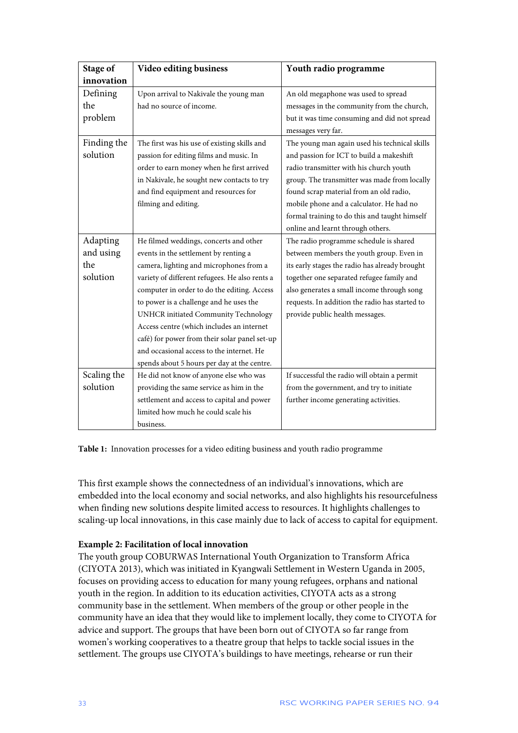| <b>Stage of</b> | Video editing business                         | Youth radio programme                          |
|-----------------|------------------------------------------------|------------------------------------------------|
| innovation      |                                                |                                                |
| Defining        | Upon arrival to Nakivale the young man         | An old megaphone was used to spread            |
| the             | had no source of income.                       | messages in the community from the church,     |
| problem         |                                                | but it was time consuming and did not spread   |
|                 |                                                | messages very far.                             |
| Finding the     | The first was his use of existing skills and   | The young man again used his technical skills  |
| solution        | passion for editing films and music. In        | and passion for ICT to build a makeshift       |
|                 | order to earn money when he first arrived      | radio transmitter with his church youth        |
|                 | in Nakivale, he sought new contacts to try     | group. The transmitter was made from locally   |
|                 | and find equipment and resources for           | found scrap material from an old radio,        |
|                 | filming and editing.                           | mobile phone and a calculator. He had no       |
|                 |                                                | formal training to do this and taught himself  |
|                 |                                                | online and learnt through others.              |
| Adapting        | He filmed weddings, concerts and other         | The radio programme schedule is shared         |
| and using       | events in the settlement by renting a          | between members the youth group. Even in       |
| the             | camera, lighting and microphones from a        | its early stages the radio has already brought |
| solution        | variety of different refugees. He also rents a | together one separated refugee family and      |
|                 | computer in order to do the editing. Access    | also generates a small income through song     |
|                 | to power is a challenge and he uses the        | requests. In addition the radio has started to |
|                 | UNHCR initiated Community Technology           | provide public health messages.                |
|                 | Access centre (which includes an internet      |                                                |
|                 | café) for power from their solar panel set-up  |                                                |
|                 | and occasional access to the internet. He      |                                                |
|                 | spends about 5 hours per day at the centre.    |                                                |
| Scaling the     | He did not know of anyone else who was         | If successful the radio will obtain a permit   |
| solution        | providing the same service as him in the       | from the government, and try to initiate       |
|                 | settlement and access to capital and power     | further income generating activities.          |
|                 | limited how much he could scale his            |                                                |
|                 | business.                                      |                                                |

**Table 1:** Innovation processes for a video editing business and youth radio programme

This first example shows the connectedness of an individual's innovations, which are embedded into the local economy and social networks, and also highlights his resourcefulness when finding new solutions despite limited access to resources. It highlights challenges to scaling-up local innovations, in this case mainly due to lack of access to capital for equipment.

#### **Example 2: Facilitation of local innovation**

The youth group COBURWAS International Youth Organization to Transform Africa (CIYOTA 2013), which was initiated in Kyangwali Settlement in Western Uganda in 2005, focuses on providing access to education for many young refugees, orphans and national youth in the region. In addition to its education activities, CIYOTA acts as a strong community base in the settlement. When members of the group or other people in the community have an idea that they would like to implement locally, they come to CIYOTA for advice and support. The groups that have been born out of CIYOTA so far range from women's working cooperatives to a theatre group that helps to tackle social issues in the settlement. The groups use CIYOTA's buildings to have meetings, rehearse or run their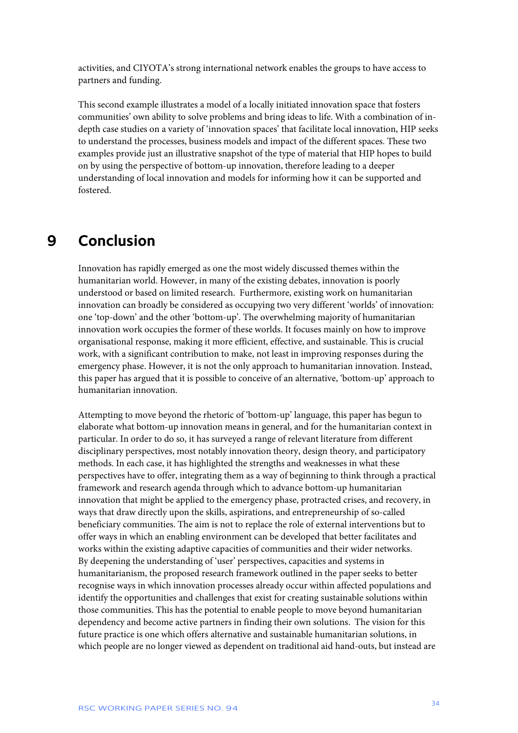activities, and CIYOTA's strong international network enables the groups to have access to partners and funding.

This second example illustrates a model of a locally initiated innovation space that fosters communities' own ability to solve problems and bring ideas to life. With a combination of indepth case studies on a variety of 'innovation spaces' that facilitate local innovation, HIP seeks to understand the processes, business models and impact of the different spaces. These two examples provide just an illustrative snapshot of the type of material that HIP hopes to build on by using the perspective of bottom-up innovation, therefore leading to a deeper understanding of local innovation and models for informing how it can be supported and fostered.

### **9 Conclusion**

Innovation has rapidly emerged as one the most widely discussed themes within the humanitarian world. However, in many of the existing debates, innovation is poorly understood or based on limited research. Furthermore, existing work on humanitarian innovation can broadly be considered as occupying two very different 'worlds' of innovation: one 'top-down' and the other 'bottom-up'. The overwhelming majority of humanitarian innovation work occupies the former of these worlds. It focuses mainly on how to improve organisational response, making it more efficient, effective, and sustainable. This is crucial work, with a significant contribution to make, not least in improving responses during the emergency phase. However, it is not the only approach to humanitarian innovation. Instead, this paper has argued that it is possible to conceive of an alternative, 'bottom-up' approach to humanitarian innovation.

Attempting to move beyond the rhetoric of 'bottom-up' language, this paper has begun to elaborate what bottom-up innovation means in general, and for the humanitarian context in particular. In order to do so, it has surveyed a range of relevant literature from different disciplinary perspectives, most notably innovation theory, design theory, and participatory methods. In each case, it has highlighted the strengths and weaknesses in what these perspectives have to offer, integrating them as a way of beginning to think through a practical framework and research agenda through which to advance bottom-up humanitarian innovation that might be applied to the emergency phase, protracted crises, and recovery, in ways that draw directly upon the skills, aspirations, and entrepreneurship of so-called beneficiary communities. The aim is not to replace the role of external interventions but to offer ways in which an enabling environment can be developed that better facilitates and works within the existing adaptive capacities of communities and their wider networks. By deepening the understanding of 'user' perspectives, capacities and systems in humanitarianism, the proposed research framework outlined in the paper seeks to better recognise ways in which innovation processes already occur within affected populations and identify the opportunities and challenges that exist for creating sustainable solutions within those communities. This has the potential to enable people to move beyond humanitarian dependency and become active partners in finding their own solutions. The vision for this future practice is one which offers alternative and sustainable humanitarian solutions, in which people are no longer viewed as dependent on traditional aid hand-outs, but instead are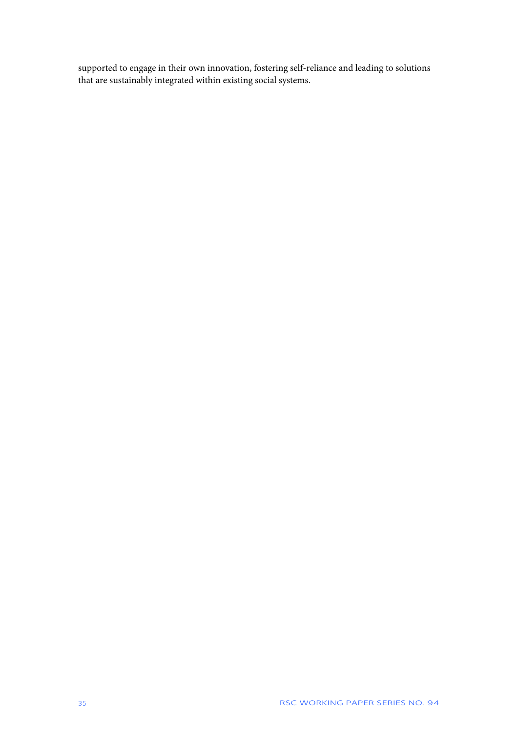supported to engage in their own innovation, fostering self-reliance and leading to solutions that are sustainably integrated within existing social systems.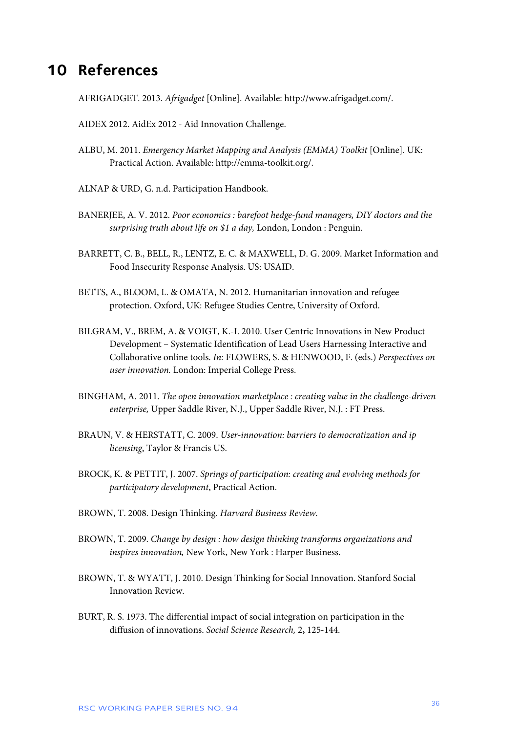### **10 References**

AFRIGADGET. 2013. *Afrigadget* [Online]. Available: http://www.afrigadget.com/.

AIDEX 2012. AidEx 2012 - Aid Innovation Challenge.

- ALBU, M. 2011. *Emergency Market Mapping and Analysis (EMMA) Toolkit* [Online]. UK: Practical Action. Available: http://emma-toolkit.org/.
- ALNAP & URD, G. n.d. Participation Handbook.
- BANERJEE, A. V. 2012. *Poor economics : barefoot hedge-fund managers, DIY doctors and the surprising truth about life on \$1 a day,* London, London : Penguin.
- BARRETT, C. B., BELL, R., LENTZ, E. C. & MAXWELL, D. G. 2009. Market Information and Food Insecurity Response Analysis. US: USAID.
- BETTS, A., BLOOM, L. & OMATA, N. 2012. Humanitarian innovation and refugee protection. Oxford, UK: Refugee Studies Centre, University of Oxford.
- BILGRAM, V., BREM, A. & VOIGT, K.-I. 2010. User Centric Innovations in New Product Development – Systematic Identification of Lead Users Harnessing Interactive and Collaborative online tools. *In:* FLOWERS, S. & HENWOOD, F. (eds.) *Perspectives on user innovation.* London: Imperial College Press.
- BINGHAM, A. 2011. *The open innovation marketplace : creating value in the challenge-driven enterprise,* Upper Saddle River, N.J., Upper Saddle River, N.J. : FT Press.
- BRAUN, V. & HERSTATT, C. 2009. *User-innovation: barriers to democratization and ip licensing*, Taylor & Francis US.
- BROCK, K. & PETTIT, J. 2007. *Springs of participation: creating and evolving methods for participatory development*, Practical Action.
- BROWN, T. 2008. Design Thinking. *Harvard Business Review*.
- BROWN, T. 2009. *Change by design : how design thinking transforms organizations and inspires innovation,* New York, New York : Harper Business.
- BROWN, T. & WYATT, J. 2010. Design Thinking for Social Innovation. Stanford Social Innovation Review.
- BURT, R. S. 1973. The differential impact of social integration on participation in the diffusion of innovations. *Social Science Research,* 2**,** 125-144.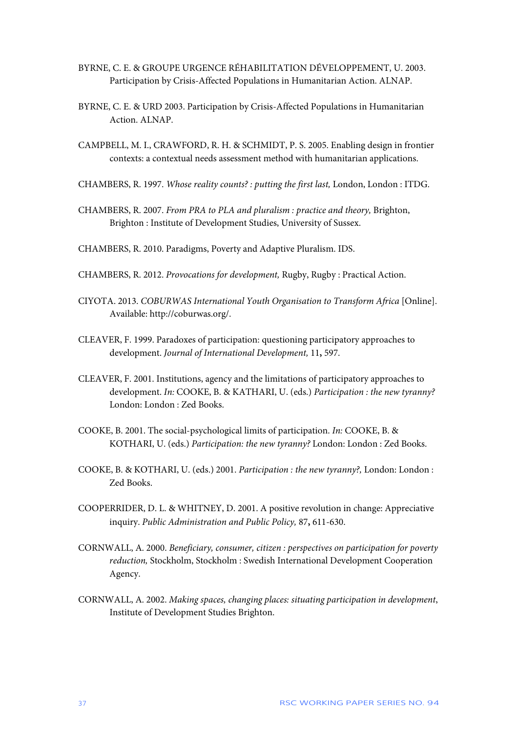- BYRNE, C. E. & GROUPE URGENCE RÉHABILITATION DÉVELOPPEMENT, U. 2003. Participation by Crisis-Affected Populations in Humanitarian Action. ALNAP.
- BYRNE, C. E. & URD 2003. Participation by Crisis-Affected Populations in Humanitarian Action. ALNAP.
- CAMPBELL, M. I., CRAWFORD, R. H. & SCHMIDT, P. S. 2005. Enabling design in frontier contexts: a contextual needs assessment method with humanitarian applications.
- CHAMBERS, R. 1997. *Whose reality counts? : putting the first last,* London, London : ITDG.
- CHAMBERS, R. 2007. *From PRA to PLA and pluralism : practice and theory,* Brighton, Brighton : Institute of Development Studies, University of Sussex.
- CHAMBERS, R. 2010. Paradigms, Poverty and Adaptive Pluralism. IDS.
- CHAMBERS, R. 2012. *Provocations for development,* Rugby, Rugby : Practical Action.
- CIYOTA. 2013. *COBURWAS International Youth Organisation to Transform Africa* [Online]. Available: http://coburwas.org/.
- CLEAVER, F. 1999. Paradoxes of participation: questioning participatory approaches to development. *Journal of International Development,* 11**,** 597.
- CLEAVER, F. 2001. Institutions, agency and the limitations of participatory approaches to development. *In:* COOKE, B. & KATHARI, U. (eds.) *Participation : the new tyranny?* London: London : Zed Books.
- COOKE, B. 2001. The social-psychological limits of participation. *In:* COOKE, B. & KOTHARI, U. (eds.) *Participation: the new tyranny?* London: London : Zed Books.
- COOKE, B. & KOTHARI, U. (eds.) 2001. *Participation : the new tyranny?,* London: London : Zed Books.
- COOPERRIDER, D. L. & WHITNEY, D. 2001. A positive revolution in change: Appreciative inquiry. *Public Administration and Public Policy,* 87**,** 611-630.
- CORNWALL, A. 2000. *Beneficiary, consumer, citizen : perspectives on participation for poverty reduction,* Stockholm, Stockholm : Swedish International Development Cooperation Agency.
- CORNWALL, A. 2002. *Making spaces, changing places: situating participation in development*, Institute of Development Studies Brighton.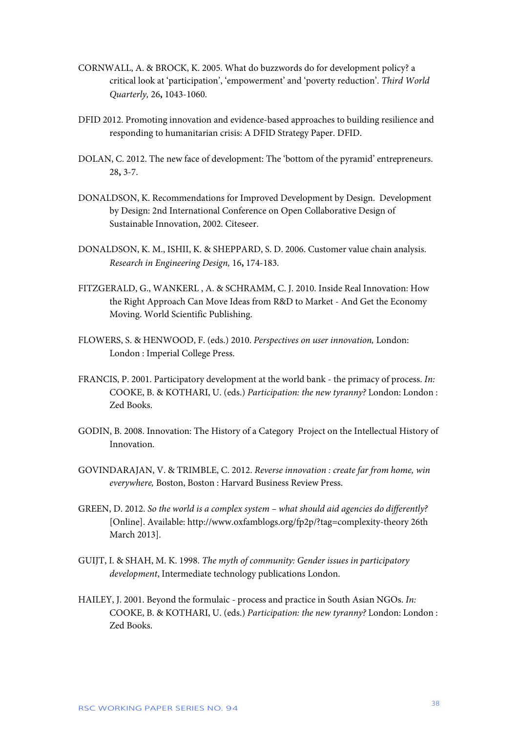- CORNWALL, A. & BROCK, K. 2005. What do buzzwords do for development policy? a critical look at 'participation', 'empowerment' and 'poverty reduction'. *Third World Quarterly,* 26**,** 1043-1060.
- DFID 2012. Promoting innovation and evidence-based approaches to building resilience and responding to humanitarian crisis: A DFID Strategy Paper. DFID.
- DOLAN, C. 2012. The new face of development: The 'bottom of the pyramid' entrepreneurs. 28**,** 3-7.
- DONALDSON, K. Recommendations for Improved Development by Design. Development by Design: 2nd International Conference on Open Collaborative Design of Sustainable Innovation, 2002. Citeseer.
- DONALDSON, K. M., ISHII, K. & SHEPPARD, S. D. 2006. Customer value chain analysis. *Research in Engineering Design,* 16**,** 174-183.
- FITZGERALD, G., WANKERL , A. & SCHRAMM, C. J. 2010. Inside Real Innovation: How the Right Approach Can Move Ideas from R&D to Market - And Get the Economy Moving. World Scientific Publishing.
- FLOWERS, S. & HENWOOD, F. (eds.) 2010. *Perspectives on user innovation,* London: London : Imperial College Press.
- FRANCIS, P. 2001. Participatory development at the world bank the primacy of process. *In:* COOKE, B. & KOTHARI, U. (eds.) *Participation: the new tyranny?* London: London : Zed Books.
- GODIN, B. 2008. Innovation: The History of a Category Project on the Intellectual History of Innovation.
- GOVINDARAJAN, V. & TRIMBLE, C. 2012. *Reverse innovation : create far from home, win everywhere,* Boston, Boston : Harvard Business Review Press.
- GREEN, D. 2012. *So the world is a complex system – what should aid agencies do differently?*  [Online]. Available: http://www.oxfamblogs.org/fp2p/?tag=complexity-theory 26th March 2013].
- GUIJT, I. & SHAH, M. K. 1998. *The myth of community: Gender issues in participatory development*, Intermediate technology publications London.
- HAILEY, J. 2001. Beyond the formulaic process and practice in South Asian NGOs. *In:* COOKE, B. & KOTHARI, U. (eds.) *Participation: the new tyranny?* London: London : Zed Books.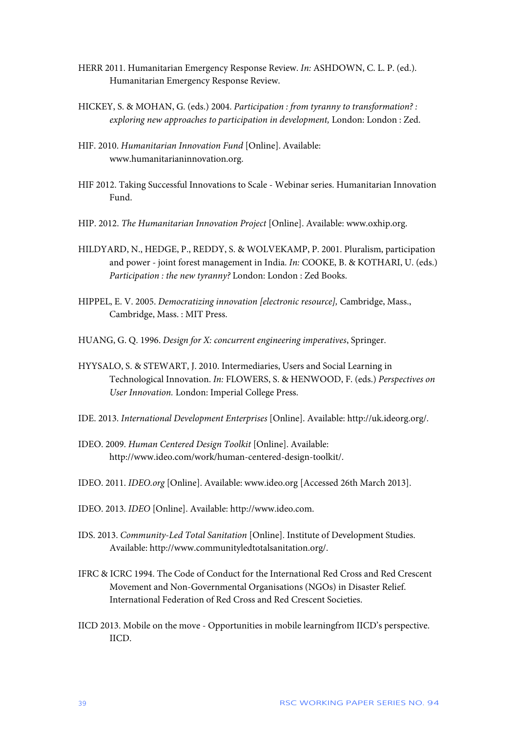- HERR 2011. Humanitarian Emergency Response Review. *In:* ASHDOWN, C. L. P. (ed.). Humanitarian Emergency Response Review.
- HICKEY, S. & MOHAN, G. (eds.) 2004. *Participation : from tyranny to transformation? : exploring new approaches to participation in development,* London: London : Zed.
- HIF. 2010. *Humanitarian Innovation Fund* [Online]. Available: www.humanitarianinnovation.org.
- HIF 2012. Taking Successful Innovations to Scale Webinar series. Humanitarian Innovation Fund.
- HIP. 2012. *The Humanitarian Innovation Project* [Online]. Available: www.oxhip.org.
- HILDYARD, N., HEDGE, P., REDDY, S. & WOLVEKAMP, P. 2001. Pluralism, participation and power - joint forest management in India. *In:* COOKE, B. & KOTHARI, U. (eds.) *Participation : the new tyranny?* London: London : Zed Books.
- HIPPEL, E. V. 2005. *Democratizing innovation [electronic resource],* Cambridge, Mass., Cambridge, Mass. : MIT Press.
- HUANG, G. Q. 1996. *Design for X: concurrent engineering imperatives*, Springer.
- HYYSALO, S. & STEWART, J. 2010. Intermediaries, Users and Social Learning in Technological Innovation. *In:* FLOWERS, S. & HENWOOD, F. (eds.) *Perspectives on User Innovation.* London: Imperial College Press.
- IDE. 2013. *International Development Enterprises* [Online]. Available: http://uk.ideorg.org/.
- IDEO. 2009. *Human Centered Design Toolkit* [Online]. Available: http://www.ideo.com/work/human-centered-design-toolkit/.
- IDEO. 2011. *IDEO.org* [Online]. Available: www.ideo.org [Accessed 26th March 2013].
- IDEO. 2013. *IDEO* [Online]. Available: http://www.ideo.com.
- IDS. 2013. *Community-Led Total Sanitation* [Online]. Institute of Development Studies. Available: http://www.communityledtotalsanitation.org/.
- IFRC & ICRC 1994. The Code of Conduct for the International Red Cross and Red Crescent Movement and Non-Governmental Organisations (NGOs) in Disaster Relief. International Federation of Red Cross and Red Crescent Societies.
- IICD 2013. Mobile on the move Opportunities in mobile learningfrom IICD's perspective. IICD.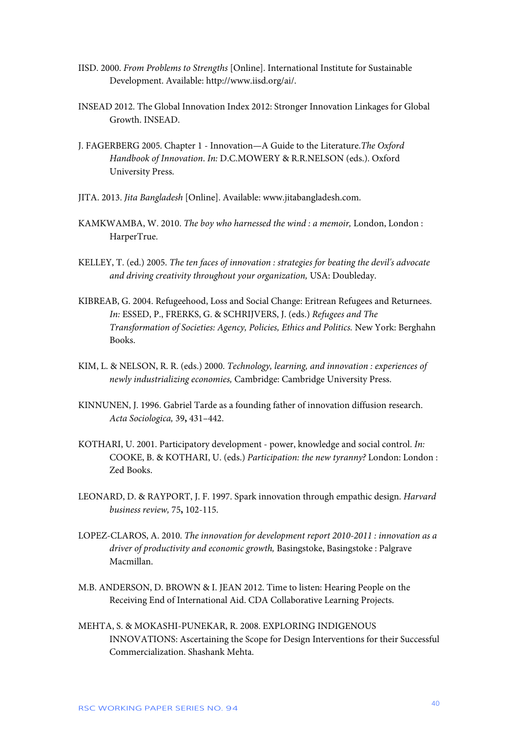- IISD. 2000. *From Problems to Strengths* [Online]. International Institute for Sustainable Development. Available: http://www.iisd.org/ai/.
- INSEAD 2012. The Global Innovation Index 2012: Stronger Innovation Linkages for Global Growth. INSEAD.
- J. FAGERBERG 2005. Chapter 1 Innovation—A Guide to the Literature.*The Oxford Handbook of Innovation*. *In:* D.C.MOWERY & R.R.NELSON (eds.). Oxford University Press.
- JITA. 2013. *Jita Bangladesh* [Online]. Available: www.jitabangladesh.com.
- KAMKWAMBA, W. 2010. *The boy who harnessed the wind : a memoir,* London, London : HarperTrue.
- KELLEY, T. (ed.) 2005. *The ten faces of innovation : strategies for beating the devil's advocate and driving creativity throughout your organization,* USA: Doubleday.
- KIBREAB, G. 2004. Refugeehood, Loss and Social Change: Eritrean Refugees and Returnees. *In:* ESSED, P., FRERKS, G. & SCHRIJVERS, J. (eds.) *Refugees and The Transformation of Societies: Agency, Policies, Ethics and Politics.* New York: Berghahn Books.
- KIM, L. & NELSON, R. R. (eds.) 2000. *Technology, learning, and innovation : experiences of newly industrializing economies,* Cambridge: Cambridge University Press.
- KINNUNEN, J. 1996. Gabriel Tarde as a founding father of innovation diffusion research. *Acta Sociologica,* 39**,** 431–442.
- KOTHARI, U. 2001. Participatory development power, knowledge and social control. *In:* COOKE, B. & KOTHARI, U. (eds.) *Participation: the new tyranny?* London: London : Zed Books.
- LEONARD, D. & RAYPORT, J. F. 1997. Spark innovation through empathic design. *Harvard business review,* 75**,** 102-115.
- LOPEZ-CLAROS, A. 2010. *The innovation for development report 2010-2011 : innovation as a driver of productivity and economic growth,* Basingstoke, Basingstoke : Palgrave Macmillan.
- M.B. ANDERSON, D. BROWN & I. JEAN 2012. Time to listen: Hearing People on the Receiving End of International Aid. CDA Collaborative Learning Projects.
- MEHTA, S. & MOKASHI-PUNEKAR, R. 2008. EXPLORING INDIGENOUS INNOVATIONS: Ascertaining the Scope for Design Interventions for their Successful Commercialization. Shashank Mehta.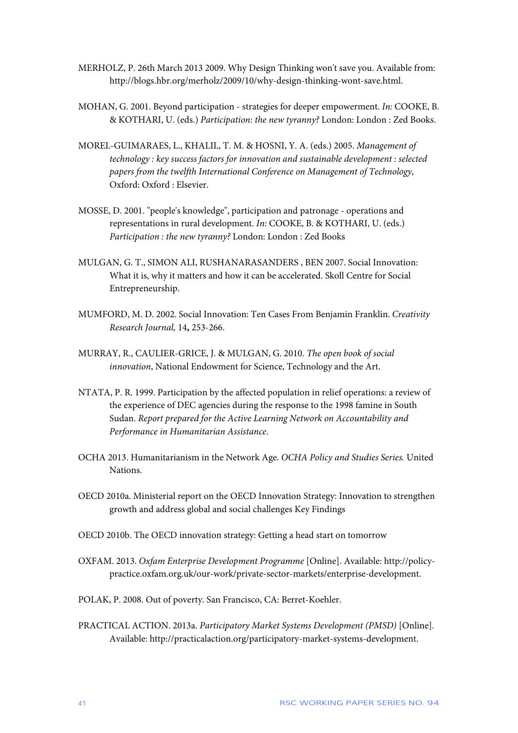- MERHOLZ, P. 26th March 2013 2009. Why Design Thinking won't save you. Available from: http://blogs.hbr.org/merholz/2009/10/why-design-thinking-wont-save.html.
- MOHAN, G. 2001. Beyond participation strategies for deeper empowerment. *In:* COOKE, B. & KOTHARI, U. (eds.) *Participation: the new tyranny?* London: London : Zed Books.
- MOREL-GUIMARAES, L., KHALIL, T. M. & HOSNI, Y. A. (eds.) 2005. *Management of technology : key success factors for innovation and sustainable development : selected papers from the twelfth International Conference on Management of Technology,*  Oxford: Oxford : Elsevier.
- MOSSE, D. 2001. "people's knowledge", participation and patronage operations and representations in rural development. *In:* COOKE, B. & KOTHARI, U. (eds.) *Participation : the new tyranny?* London: London : Zed Books
- MULGAN, G. T., SIMON ALI, RUSHANARASANDERS , BEN 2007. Social Innovation: What it is, why it matters and how it can be accelerated. Skoll Centre for Social Entrepreneurship.
- MUMFORD, M. D. 2002. Social Innovation: Ten Cases From Benjamin Franklin. *Creativity Research Journal,* 14**,** 253-266.
- MURRAY, R., CAULIER-GRICE, J. & MULGAN, G. 2010. *The open book of social innovation*, National Endowment for Science, Technology and the Art.
- NTATA, P. R. 1999. Participation by the affected population in relief operations: a review of the experience of DEC agencies during the response to the 1998 famine in South Sudan. *Report prepared for the Active Learning Network on Accountability and Performance in Humanitarian Assistance*.
- OCHA 2013. Humanitarianism in the Network Age. *OCHA Policy and Studies Series.* United Nations.
- OECD 2010a. Ministerial report on the OECD Innovation Strategy: Innovation to strengthen growth and address global and social challenges Key Findings
- OECD 2010b. The OECD innovation strategy: Getting a head start on tomorrow
- OXFAM. 2013. *Oxfam Enterprise Development Programme* [Online]. Available: http://policypractice.oxfam.org.uk/our-work/private-sector-markets/enterprise-development.
- POLAK, P. 2008. Out of poverty. San Francisco, CA: Berret-Koehler.
- PRACTICAL ACTION. 2013a. *Participatory Market Systems Development (PMSD)* [Online]. Available: http://practicalaction.org/participatory-market-systems-development.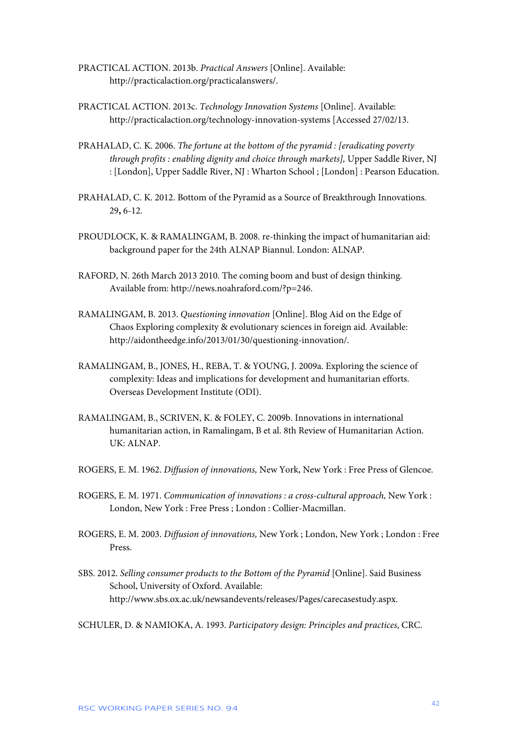- PRACTICAL ACTION. 2013b. *Practical Answers* [Online]. Available: http://practicalaction.org/practicalanswers/.
- PRACTICAL ACTION. 2013c. *Technology Innovation Systems* [Online]. Available: http://practicalaction.org/technology-innovation-systems [Accessed 27/02/13.
- PRAHALAD, C. K. 2006. *The fortune at the bottom of the pyramid : [eradicating poverty through profits : enabling dignity and choice through markets],* Upper Saddle River, NJ : [London], Upper Saddle River, NJ : Wharton School ; [London] : Pearson Education.
- PRAHALAD, C. K. 2012. Bottom of the Pyramid as a Source of Breakthrough Innovations. 29**,** 6-12.
- PROUDLOCK, K. & RAMALINGAM, B. 2008. re-thinking the impact of humanitarian aid: background paper for the 24th ALNAP Biannul. London: ALNAP.
- RAFORD, N. 26th March 2013 2010. The coming boom and bust of design thinking. Available from: http://news.noahraford.com/?p=246.
- RAMALINGAM, B. 2013. *Questioning innovation* [Online]. Blog Aid on the Edge of Chaos Exploring complexity & evolutionary sciences in foreign aid. Available: http://aidontheedge.info/2013/01/30/questioning-innovation/.
- RAMALINGAM, B., JONES, H., REBA, T. & YOUNG, J. 2009a. Exploring the science of complexity: Ideas and implications for development and humanitarian efforts. Overseas Development Institute (ODI).
- RAMALINGAM, B., SCRIVEN, K. & FOLEY, C. 2009b. Innovations in international humanitarian action, in Ramalingam, B et al. 8th Review of Humanitarian Action. UK: ALNAP.
- ROGERS, E. M. 1962. *Diffusion of innovations,* New York, New York : Free Press of Glencoe.
- ROGERS, E. M. 1971. *Communication of innovations : a cross-cultural approach,* New York : London, New York : Free Press ; London : Collier-Macmillan.
- ROGERS, E. M. 2003. *Diffusion of innovations,* New York ; London, New York ; London : Free Press.
- SBS. 2012. *Selling consumer products to the Bottom of the Pyramid [Online]*. Said Business School, University of Oxford. Available: http://www.sbs.ox.ac.uk/newsandevents/releases/Pages/carecasestudy.aspx.

SCHULER, D. & NAMIOKA, A. 1993. *Participatory design: Principles and practices*, CRC.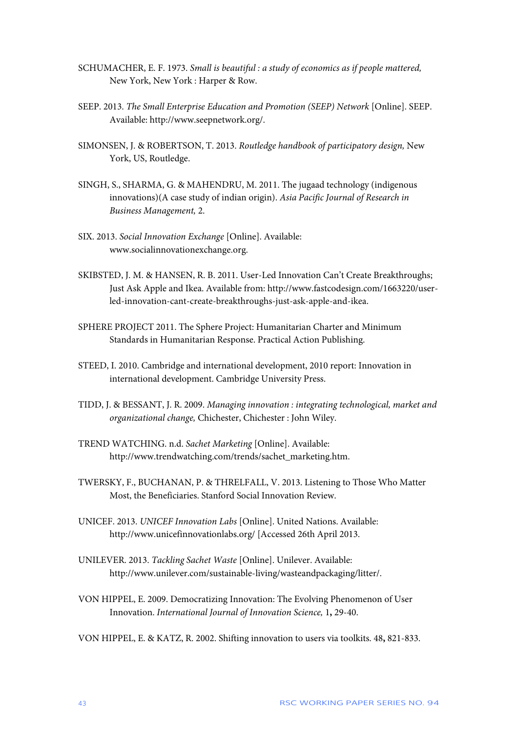- SCHUMACHER, E. F. 1973. *Small is beautiful : a study of economics as if people mattered,*  New York, New York : Harper & Row.
- SEEP. 2013. *The Small Enterprise Education and Promotion (SEEP) Network* [Online]. SEEP. Available: http://www.seepnetwork.org/.
- SIMONSEN, J. & ROBERTSON, T. 2013. *Routledge handbook of participatory design,* New York, US, Routledge.
- SINGH, S., SHARMA, G. & MAHENDRU, M. 2011. The jugaad technology (indigenous innovations)(A case study of indian origin). *Asia Pacific Journal of Research in Business Management,* 2.
- SIX. 2013. *Social Innovation Exchange* [Online]. Available: www.socialinnovationexchange.org.
- SKIBSTED, J. M. & HANSEN, R. B. 2011. User-Led Innovation Can't Create Breakthroughs; Just Ask Apple and Ikea. Available from: http://www.fastcodesign.com/1663220/userled-innovation-cant-create-breakthroughs-just-ask-apple-and-ikea.
- SPHERE PROJECT 2011. The Sphere Project: Humanitarian Charter and Minimum Standards in Humanitarian Response. Practical Action Publishing.
- STEED, I. 2010. Cambridge and international development, 2010 report: Innovation in international development. Cambridge University Press.
- TIDD, J. & BESSANT, J. R. 2009. *Managing innovation : integrating technological, market and organizational change,* Chichester, Chichester : John Wiley.
- TREND WATCHING. n.d. *Sachet Marketing* [Online]. Available: http://www.trendwatching.com/trends/sachet\_marketing.htm.
- TWERSKY, F., BUCHANAN, P. & THRELFALL, V. 2013. Listening to Those Who Matter Most, the Beneficiaries. Stanford Social Innovation Review.
- UNICEF. 2013. *UNICEF Innovation Labs* [Online]. United Nations. Available: http://www.unicefinnovationlabs.org/ [Accessed 26th April 2013.
- UNILEVER. 2013. *Tackling Sachet Waste* [Online]. Unilever. Available: http://www.unilever.com/sustainable-living/wasteandpackaging/litter/.
- VON HIPPEL, E. 2009. Democratizing Innovation: The Evolving Phenomenon of User Innovation. *International Journal of Innovation Science,* 1**,** 29-40.
- VON HIPPEL, E. & KATZ, R. 2002. Shifting innovation to users via toolkits. 48**,** 821-833.